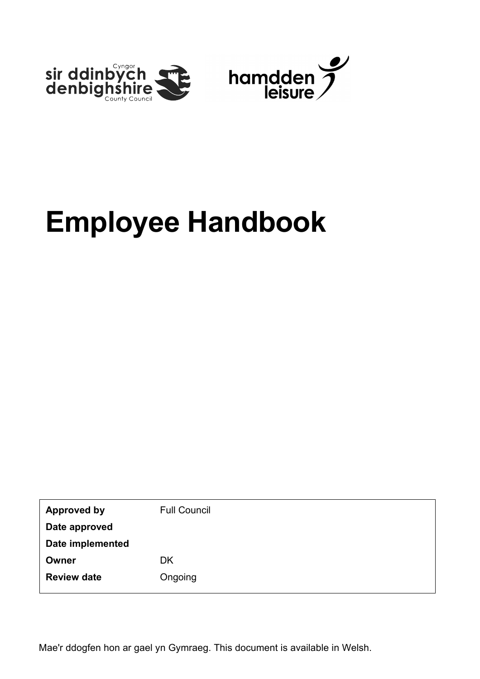

| <b>Approved by</b> | <b>Full Council</b> |
|--------------------|---------------------|
| Date approved      |                     |
| Date implemented   |                     |
| Owner              | <b>DK</b>           |
| <b>Review date</b> | Ongoing             |
|                    |                     |

Mae'r ddogfen hon ar gael yn Gymraeg. This document is available in Welsh.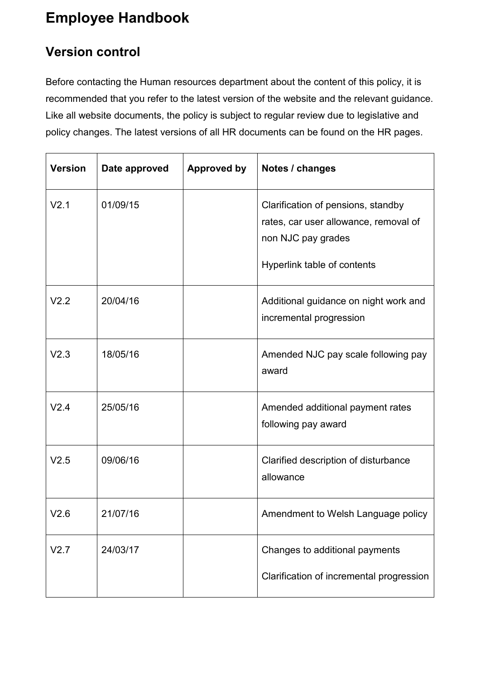### <span id="page-1-0"></span>**Version control**

Before contacting the Human resources department about the content of this policy, it is recommended that you refer to the latest version of the website and the relevant guidance. Like all website documents, the policy is subject to regular review due to legislative and policy changes. The latest versions of all HR documents can be found on the HR pages.

| <b>Version</b>   | Date approved | <b>Approved by</b> | Notes / changes                                                                                                                  |
|------------------|---------------|--------------------|----------------------------------------------------------------------------------------------------------------------------------|
| V <sub>2.1</sub> | 01/09/15      |                    | Clarification of pensions, standby<br>rates, car user allowance, removal of<br>non NJC pay grades<br>Hyperlink table of contents |
| V <sub>2.2</sub> | 20/04/16      |                    | Additional guidance on night work and<br>incremental progression                                                                 |
| V2.3             | 18/05/16      |                    | Amended NJC pay scale following pay<br>award                                                                                     |
| V2.4             | 25/05/16      |                    | Amended additional payment rates<br>following pay award                                                                          |
| V2.5             | 09/06/16      |                    | Clarified description of disturbance<br>allowance                                                                                |
| V2.6             | 21/07/16      |                    | Amendment to Welsh Language policy                                                                                               |
| V2.7             | 24/03/17      |                    | Changes to additional payments<br>Clarification of incremental progression                                                       |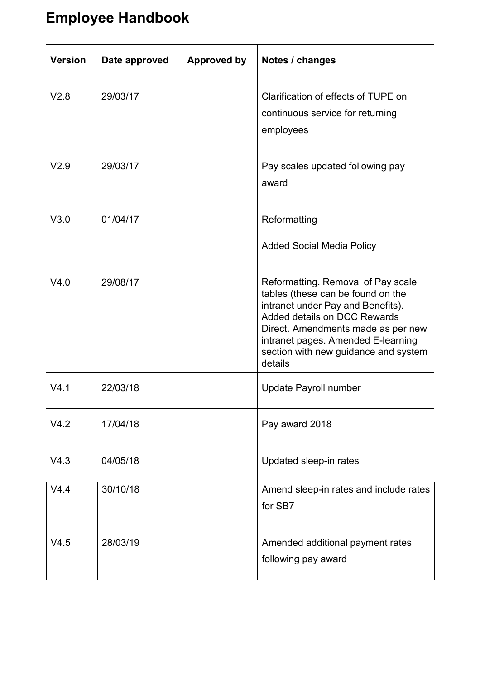| <b>Version</b>   | Date approved | <b>Approved by</b> | Notes / changes                                                                                                                                                                                                                                                             |
|------------------|---------------|--------------------|-----------------------------------------------------------------------------------------------------------------------------------------------------------------------------------------------------------------------------------------------------------------------------|
| V2.8             | 29/03/17      |                    | Clarification of effects of TUPE on<br>continuous service for returning<br>employees                                                                                                                                                                                        |
| V <sub>2.9</sub> | 29/03/17      |                    | Pay scales updated following pay<br>award                                                                                                                                                                                                                                   |
| V3.0             | 01/04/17      |                    | Reformatting<br><b>Added Social Media Policy</b>                                                                                                                                                                                                                            |
| V4.0             | 29/08/17      |                    | Reformatting. Removal of Pay scale<br>tables (these can be found on the<br>intranet under Pay and Benefits).<br>Added details on DCC Rewards<br>Direct. Amendments made as per new<br>intranet pages. Amended E-learning<br>section with new guidance and system<br>details |
| V4.1             | 22/03/18      |                    | Update Payroll number                                                                                                                                                                                                                                                       |
| V4.2             | 17/04/18      |                    | Pay award 2018                                                                                                                                                                                                                                                              |
| V4.3             | 04/05/18      |                    | Updated sleep-in rates                                                                                                                                                                                                                                                      |
| V4.4             | 30/10/18      |                    | Amend sleep-in rates and include rates<br>for SB7                                                                                                                                                                                                                           |
| V4.5             | 28/03/19      |                    | Amended additional payment rates<br>following pay award                                                                                                                                                                                                                     |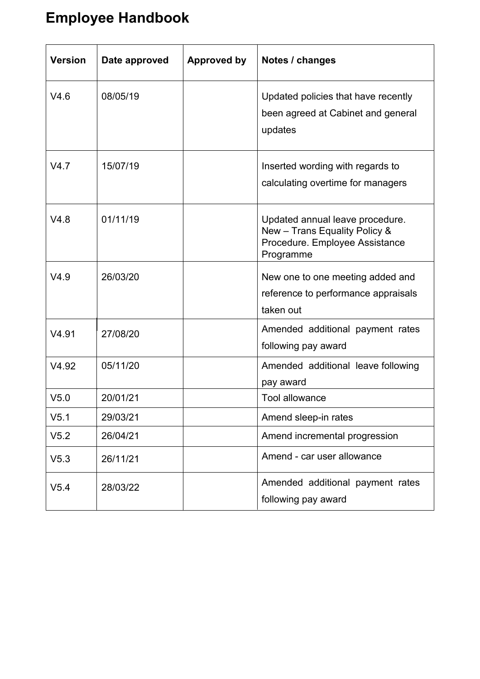| <b>Version</b>   | Date approved | <b>Approved by</b> | Notes / changes                                                                                                 |
|------------------|---------------|--------------------|-----------------------------------------------------------------------------------------------------------------|
| V4.6             | 08/05/19      |                    | Updated policies that have recently<br>been agreed at Cabinet and general<br>updates                            |
| V4.7             | 15/07/19      |                    | Inserted wording with regards to<br>calculating overtime for managers                                           |
| V4.8             | 01/11/19      |                    | Updated annual leave procedure.<br>New - Trans Equality Policy &<br>Procedure. Employee Assistance<br>Programme |
| V4.9             | 26/03/20      |                    | New one to one meeting added and<br>reference to performance appraisals<br>taken out                            |
| V4.91            | 27/08/20      |                    | Amended additional payment rates<br>following pay award                                                         |
| V4.92            | 05/11/20      |                    | Amended additional leave following<br>pay award                                                                 |
| V <sub>5.0</sub> | 20/01/21      |                    | <b>Tool allowance</b>                                                                                           |
| V5.1             | 29/03/21      |                    | Amend sleep-in rates                                                                                            |
| V5.2             | 26/04/21      |                    | Amend incremental progression                                                                                   |
| V5.3             | 26/11/21      |                    | Amend - car user allowance                                                                                      |
| V5.4             | 28/03/22      |                    | Amended additional payment rates<br>following pay award                                                         |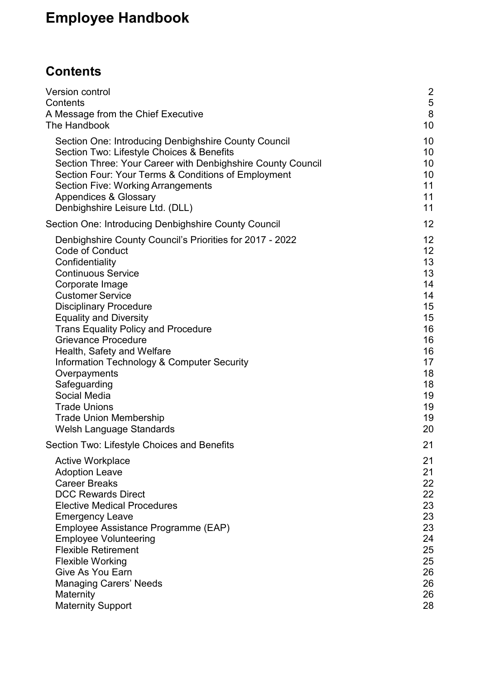# <span id="page-4-0"></span>**Contents**

| Version control<br>Contents<br>A Message from the Chief Executive<br>The Handbook                                                                                                                                                                                                                                                                                                                                                                                                                                                              | $\frac{2}{5}$<br>$\bf 8$<br>10                                                                           |
|------------------------------------------------------------------------------------------------------------------------------------------------------------------------------------------------------------------------------------------------------------------------------------------------------------------------------------------------------------------------------------------------------------------------------------------------------------------------------------------------------------------------------------------------|----------------------------------------------------------------------------------------------------------|
| Section One: Introducing Denbighshire County Council<br>Section Two: Lifestyle Choices & Benefits<br>Section Three: Your Career with Denbighshire County Council<br>Section Four: Your Terms & Conditions of Employment<br><b>Section Five: Working Arrangements</b><br><b>Appendices &amp; Glossary</b><br>Denbighshire Leisure Ltd. (DLL)                                                                                                                                                                                                    | 10<br>10<br>10<br>10<br>11<br>11<br>11                                                                   |
| Section One: Introducing Denbighshire County Council                                                                                                                                                                                                                                                                                                                                                                                                                                                                                           | 12                                                                                                       |
| Denbighshire County Council's Priorities for 2017 - 2022<br><b>Code of Conduct</b><br>Confidentiality<br><b>Continuous Service</b><br>Corporate Image<br><b>Customer Service</b><br><b>Disciplinary Procedure</b><br><b>Equality and Diversity</b><br><b>Trans Equality Policy and Procedure</b><br><b>Grievance Procedure</b><br>Health, Safety and Welfare<br>Information Technology & Computer Security<br>Overpayments<br>Safeguarding<br>Social Media<br><b>Trade Unions</b><br><b>Trade Union Membership</b><br>Welsh Language Standards | 12<br>12<br>13<br>13<br>14<br>14<br>15<br>15<br>16<br>16<br>16<br>17<br>18<br>18<br>19<br>19<br>19<br>20 |
| Section Two: Lifestyle Choices and Benefits                                                                                                                                                                                                                                                                                                                                                                                                                                                                                                    | 21                                                                                                       |
| <b>Active Workplace</b><br><b>Adoption Leave</b><br><b>Career Breaks</b><br><b>DCC Rewards Direct</b><br><b>Elective Medical Procedures</b><br><b>Emergency Leave</b><br>Employee Assistance Programme (EAP)<br><b>Employee Volunteering</b><br><b>Flexible Retirement</b><br><b>Flexible Working</b><br>Give As You Earn<br><b>Managing Carers' Needs</b><br>Maternity<br><b>Maternity Support</b>                                                                                                                                            | 21<br>21<br>22<br>22<br>23<br>23<br>23<br>24<br>25<br>25<br>26<br>26<br>26<br>28                         |
|                                                                                                                                                                                                                                                                                                                                                                                                                                                                                                                                                |                                                                                                          |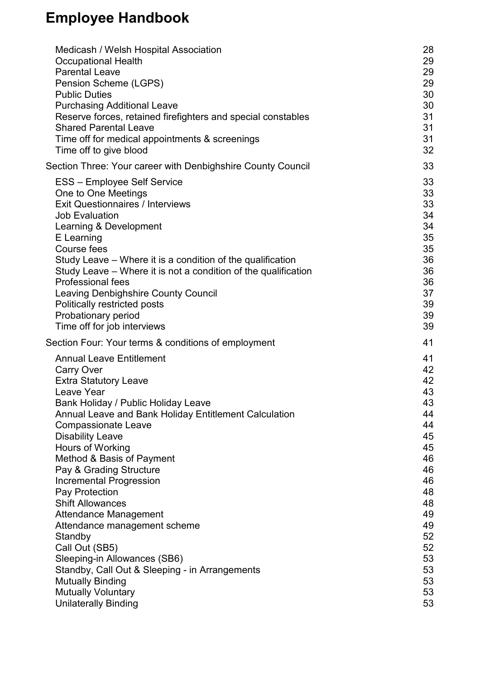| Medicash / Welsh Hospital Association                          | 28 |
|----------------------------------------------------------------|----|
| <b>Occupational Health</b>                                     | 29 |
| <b>Parental Leave</b>                                          | 29 |
| Pension Scheme (LGPS)                                          | 29 |
| <b>Public Duties</b>                                           | 30 |
| <b>Purchasing Additional Leave</b>                             | 30 |
| Reserve forces, retained firefighters and special constables   | 31 |
| <b>Shared Parental Leave</b>                                   | 31 |
| Time off for medical appointments & screenings                 | 31 |
| Time off to give blood                                         | 32 |
| Section Three: Your career with Denbighshire County Council    | 33 |
| <b>ESS - Employee Self Service</b>                             | 33 |
| One to One Meetings                                            | 33 |
| <b>Exit Questionnaires / Interviews</b>                        | 33 |
| <b>Job Evaluation</b>                                          | 34 |
| Learning & Development                                         | 34 |
| E Learning                                                     | 35 |
| Course fees                                                    | 35 |
| Study Leave – Where it is a condition of the qualification     | 36 |
| Study Leave – Where it is not a condition of the qualification | 36 |
| <b>Professional fees</b>                                       | 36 |
| <b>Leaving Denbighshire County Council</b>                     | 37 |
| Politically restricted posts                                   | 39 |
| Probationary period                                            | 39 |
| Time off for job interviews                                    | 39 |
| Section Four: Your terms & conditions of employment            | 41 |
| <b>Annual Leave Entitlement</b>                                | 41 |
| <b>Carry Over</b>                                              | 42 |
| <b>Extra Statutory Leave</b>                                   | 42 |
| Leave Year                                                     | 43 |
| Bank Holiday / Public Holiday Leave                            | 43 |
| <b>Annual Leave and Bank Holiday Entitlement Calculation</b>   | 44 |
| <b>Compassionate Leave</b>                                     | 44 |
| <b>Disability Leave</b>                                        | 45 |
| Hours of Working                                               | 45 |
| Method & Basis of Payment                                      | 46 |
| Pay & Grading Structure                                        | 46 |
| <b>Incremental Progression</b>                                 | 46 |
| Pay Protection                                                 | 48 |
| <b>Shift Allowances</b>                                        | 48 |
| <b>Attendance Management</b>                                   | 49 |
| Attendance management scheme                                   | 49 |
| Standby                                                        | 52 |
| Call Out (SB5)                                                 | 52 |
| Sleeping-in Allowances (SB6)                                   | 53 |
| Standby, Call Out & Sleeping - in Arrangements                 | 53 |
| <b>Mutually Binding</b>                                        | 53 |
| <b>Mutually Voluntary</b>                                      | 53 |
| <b>Unilaterally Binding</b>                                    | 53 |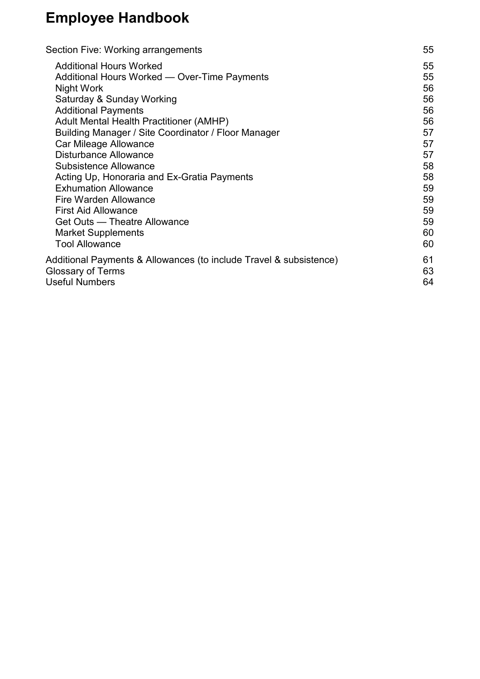| Section Five: Working arrangements                                                             | 55       |
|------------------------------------------------------------------------------------------------|----------|
| <b>Additional Hours Worked</b>                                                                 | 55       |
| Additional Hours Worked — Over-Time Payments                                                   | 55       |
| Night Work                                                                                     | 56       |
| Saturday & Sunday Working                                                                      | 56       |
| <b>Additional Payments</b>                                                                     | 56       |
| Adult Mental Health Practitioner (AMHP)                                                        | 56       |
| Building Manager / Site Coordinator / Floor Manager                                            | 57       |
| Car Mileage Allowance                                                                          | 57       |
| <b>Disturbance Allowance</b>                                                                   | 57       |
| <b>Subsistence Allowance</b>                                                                   | 58       |
| Acting Up, Honoraria and Ex-Gratia Payments                                                    | 58       |
| <b>Exhumation Allowance</b>                                                                    | 59       |
| <b>Fire Warden Allowance</b>                                                                   | 59       |
| <b>First Aid Allowance</b>                                                                     | 59       |
| Get Outs — Theatre Allowance                                                                   | 59       |
| <b>Market Supplements</b>                                                                      | 60       |
| <b>Tool Allowance</b>                                                                          | 60       |
| Additional Payments & Allowances (to include Travel & subsistence)<br><b>Glossary of Terms</b> | 61<br>63 |
| <b>Useful Numbers</b>                                                                          | 64       |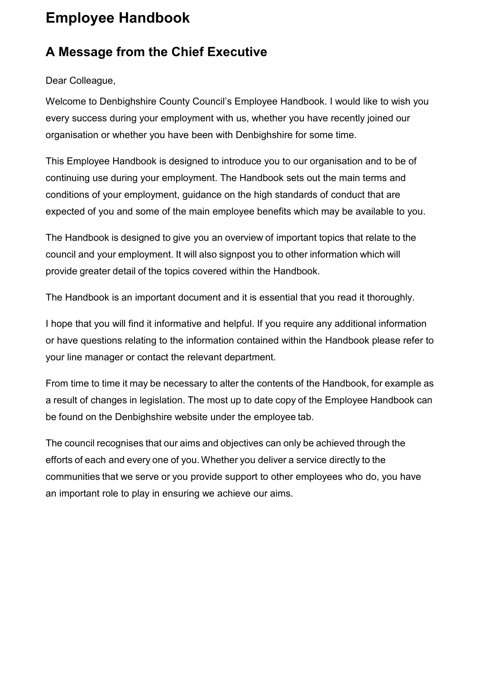#### <span id="page-7-0"></span>**A Message from the Chief Executive**

Dear Colleague,

Welcome to Denbighshire County Council's Employee Handbook. I would like to wish you every success during your employment with us, whether you have recently joined our organisation or whether you have been with Denbighshire for some time.

This Employee Handbook is designed to introduce you to our organisation and to be of continuing use during your employment. The Handbook sets out the main terms and conditions of your employment, guidance on the high standards of conduct that are expected of you and some of the main employee benefits which may be available to you.

The Handbook is designed to give you an overview of important topics that relate to the council and your employment. It will also signpost you to other information which will provide greater detail of the topics covered within the Handbook.

The Handbook is an important document and it is essential that you read it thoroughly.

I hope that you will find it informative and helpful. If you require any additional information or have questions relating to the information contained within the Handbook please refer to your line manager or contact the relevant department.

From time to time it may be necessary to alter the contents of the Handbook, for example as a result of changes in legislation. The most up to date copy of the Employee Handbook can be found on the Denbighshire website under the employee tab.

The council recognises that our aims and objectives can only be achieved through the efforts of each and every one of you. Whether you deliver a service directly to the communities that we serve or you provide support to other employees who do, you have an important role to play in ensuring we achieve our aims.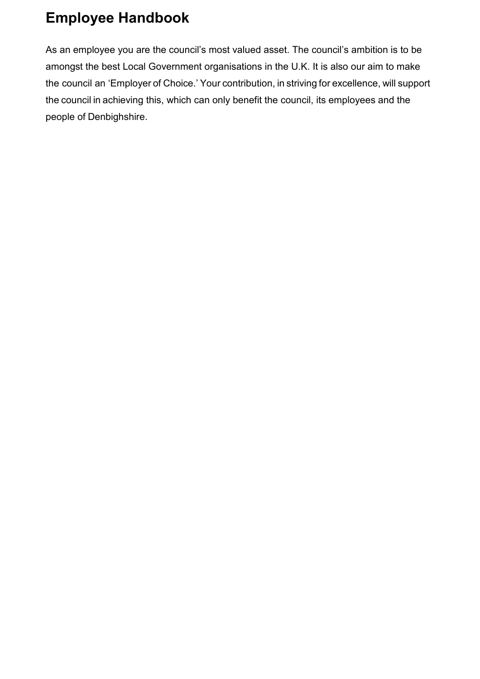As an employee you are the council's most valued asset. The council's ambition is to be amongst the best Local Government organisations in the U.K. It is also our aim to make the council an 'Employer of Choice.' Your contribution, in striving for excellence, will support the council in achieving this, which can only benefit the council, its employees and the people of Denbighshire.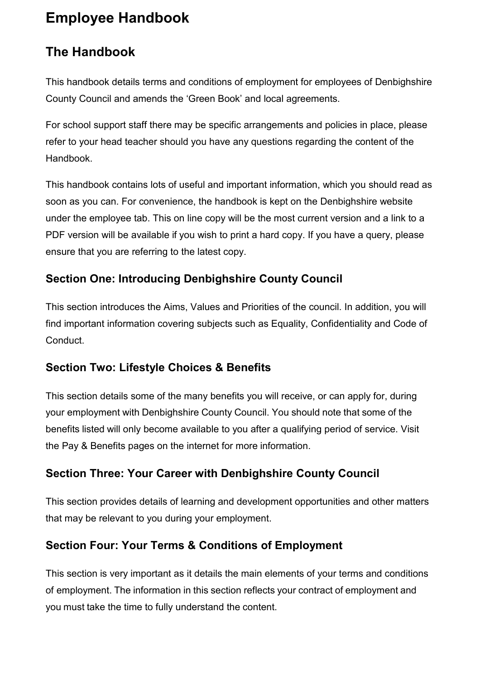### <span id="page-9-0"></span>**The Handbook**

This handbook details terms and conditions of employment for employees of Denbighshire County Council and amends the 'Green Book' and local agreements.

For school support staff there may be specific arrangements and policies in place, please refer to your head teacher should you have any questions regarding the content of the Handbook.

This handbook contains lots of useful and important information, which you should read as soon as you can. For convenience, the handbook is kept on the Denbighshire website under the employee tab. This on line copy will be the most current version and a link to a PDF version will be available if you wish to print a hard copy. If you have a query, please ensure that you are referring to the latest copy.

#### <span id="page-9-1"></span>**Section One: Introducing Denbighshire County Council**

This section introduces the Aims, Values and Priorities of the council. In addition, you will find important information covering subjects such as Equality, Confidentiality and Code of Conduct.

#### <span id="page-9-2"></span>**Section Two: Lifestyle Choices & Benefits**

This section details some of the many benefits you will receive, or can apply for, during your employment with Denbighshire County Council. You should note that some of the benefits listed will only become available to you after a qualifying period of service. Visit the Pay & Benefits pages on the internet for more information.

#### <span id="page-9-3"></span>**Section Three: Your Career with Denbighshire County Council**

This section provides details of learning and development opportunities and other matters that may be relevant to you during your employment.

#### <span id="page-9-4"></span>**Section Four: Your Terms & Conditions of Employment**

This section is very important as it details the main elements of your terms and conditions of employment. The information in this section reflects your contract of employment and you must take the time to fully understand the content.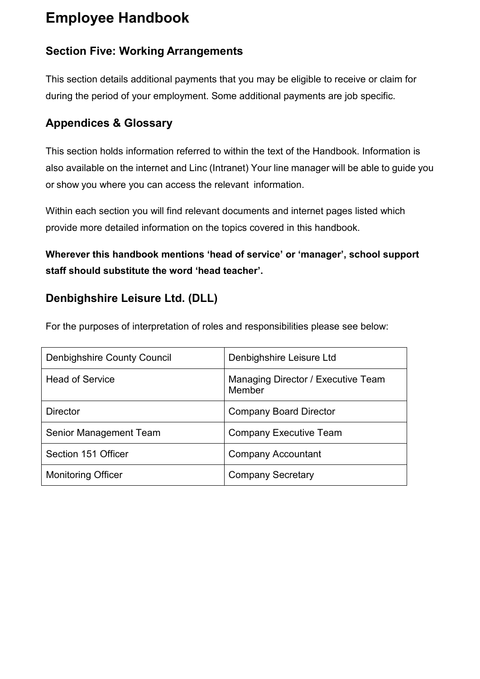#### <span id="page-10-0"></span>**Section Five: Working Arrangements**

This section details additional payments that you may be eligible to receive or claim for during the period of your employment. Some additional payments are job specific.

#### <span id="page-10-1"></span>**Appendices & Glossary**

This section holds information referred to within the text of the Handbook. Information is also available on the internet and Linc (Intranet) Your line manager will be able to guide you or show you where you can access the relevant information.

Within each section you will find relevant documents and internet pages listed which provide more detailed information on the topics covered in this handbook.

**Wherever this handbook mentions 'head of service' or 'manager', school support staff should substitute the word 'head teacher'.** 

#### <span id="page-10-2"></span>**Denbighshire Leisure Ltd. (DLL)**

For the purposes of interpretation of roles and responsibilities please see below:

| <b>Denbighshire County Council</b> | Denbighshire Leisure Ltd                     |  |
|------------------------------------|----------------------------------------------|--|
| <b>Head of Service</b>             | Managing Director / Executive Team<br>Member |  |
| <b>Director</b>                    | <b>Company Board Director</b>                |  |
| Senior Management Team             | Company Executive Team                       |  |
| Section 151 Officer                | <b>Company Accountant</b>                    |  |
| <b>Monitoring Officer</b>          | <b>Company Secretary</b>                     |  |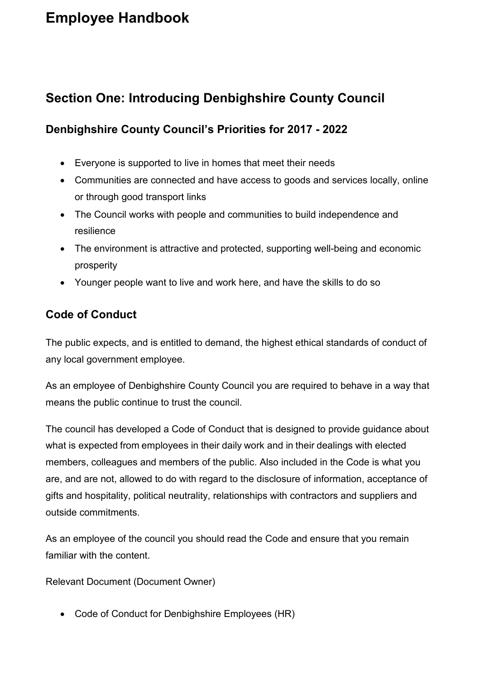#### <span id="page-11-0"></span>**Section One: Introducing Denbighshire County Council**

#### <span id="page-11-1"></span>**Denbighshire County Council's Priorities for 2017 - 2022**

- Everyone is supported to live in homes that meet their needs
- Communities are connected and have access to goods and services locally, online or through good transport links
- The Council works with people and communities to build independence and resilience
- The environment is attractive and protected, supporting well-being and economic prosperity
- Younger people want to live and work here, and have the skills to do so

#### <span id="page-11-2"></span>**Code of Conduct**

The public expects, and is entitled to demand, the highest ethical standards of conduct of any local government employee.

As an employee of Denbighshire County Council you are required to behave in a way that means the public continue to trust the council.

The council has developed a Code of Conduct that is designed to provide guidance about what is expected from employees in their daily work and in their dealings with elected members, colleagues and members of the public. Also included in the Code is what you are, and are not, allowed to do with regard to the disclosure of information, acceptance of gifts and hospitality, political neutrality, relationships with contractors and suppliers and outside commitments.

As an employee of the council you should read the Code and ensure that you remain familiar with the content.

Relevant Document (Document Owner)

• Code of Conduct for Denbighshire Employees (HR)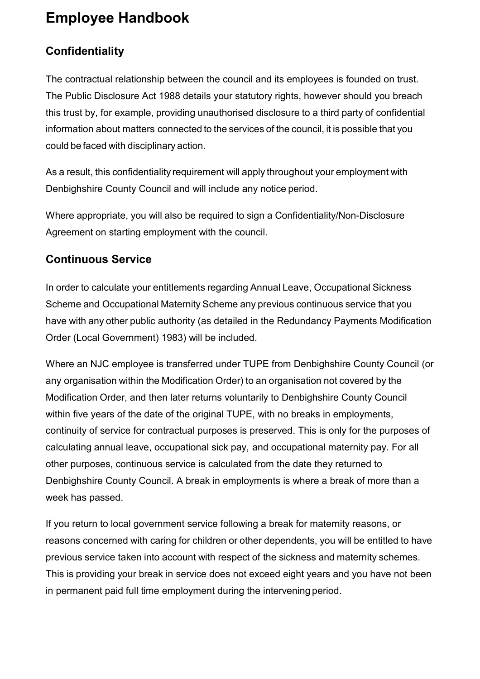#### <span id="page-12-0"></span>**Confidentiality**

The contractual relationship between the council and its employees is founded on trust. The Public Disclosure Act 1988 details your statutory rights, however should you breach this trust by, for example, providing unauthorised disclosure to a third party of confidential information about matters connected to the services of the council, it is possible that you could be faced with disciplinary action.

As a result, this confidentiality requirement will apply throughout your employment with Denbighshire County Council and will include any notice period.

Where appropriate, you will also be required to sign a Confidentiality/Non-Disclosure Agreement on starting employment with the council.

#### <span id="page-12-1"></span>**Continuous Service**

In order to calculate your entitlements regarding Annual Leave, Occupational Sickness Scheme and Occupational Maternity Scheme any previous continuous service that you have with any other public authority (as detailed in the Redundancy Payments Modification Order (Local Government) 1983) will be included.

Where an NJC employee is transferred under TUPE from Denbighshire County Council (or any organisation within the Modification Order) to an organisation not covered by the Modification Order, and then later returns voluntarily to Denbighshire County Council within five years of the date of the original TUPE, with no breaks in employments, continuity of service for contractual purposes is preserved. This is only for the purposes of calculating annual leave, occupational sick pay, and occupational maternity pay. For all other purposes, continuous service is calculated from the date they returned to Denbighshire County Council. A break in employments is where a break of more than a week has passed.

If you return to local government service following a break for maternity reasons, or reasons concerned with caring for children or other dependents, you will be entitled to have previous service taken into account with respect of the sickness and maternity schemes. This is providing your break in service does not exceed eight years and you have not been in permanent paid full time employment during the intervening period.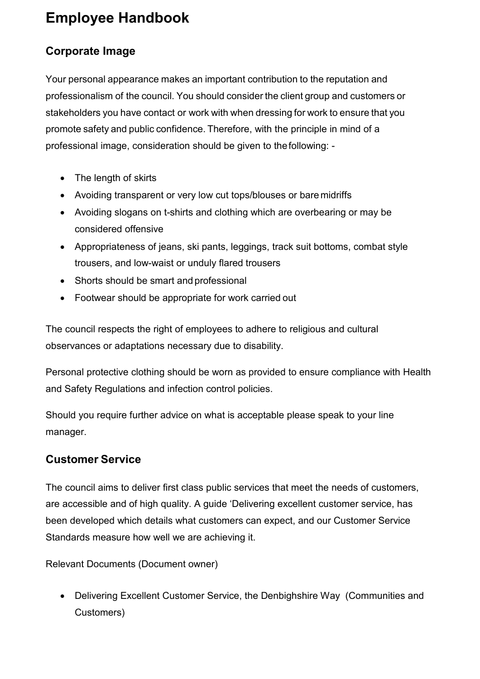#### <span id="page-13-0"></span>**Corporate Image**

Your personal appearance makes an important contribution to the reputation and professionalism of the council. You should consider the client group and customers or stakeholders you have contact or work with when dressing for work to ensure that you promote safety and public confidence. Therefore, with the principle in mind of a professional image, consideration should be given to thefollowing: -

- The length of skirts
- Avoiding transparent or very low cut tops/blouses or bare midriffs
- Avoiding slogans on t-shirts and clothing which are overbearing or may be considered offensive
- Appropriateness of jeans, ski pants, leggings, track suit bottoms, combat style trousers, and low-waist or unduly flared trousers
- Shorts should be smart and professional
- Footwear should be appropriate for work carried out

The council respects the right of employees to adhere to religious and cultural observances or adaptations necessary due to disability.

Personal protective clothing should be worn as provided to ensure compliance with Health and Safety Regulations and infection control policies.

Should you require further advice on what is acceptable please speak to your line manager.

#### <span id="page-13-1"></span>**Customer Service**

The council aims to deliver first class public services that meet the needs of customers, are accessible and of high quality. A guide 'Delivering excellent customer service, has been developed which details what customers can expect, and our Customer Service Standards measure how well we are achieving it.

Relevant Documents (Document owner)

• Delivering Excellent Customer Service, the Denbighshire Way (Communities and Customers)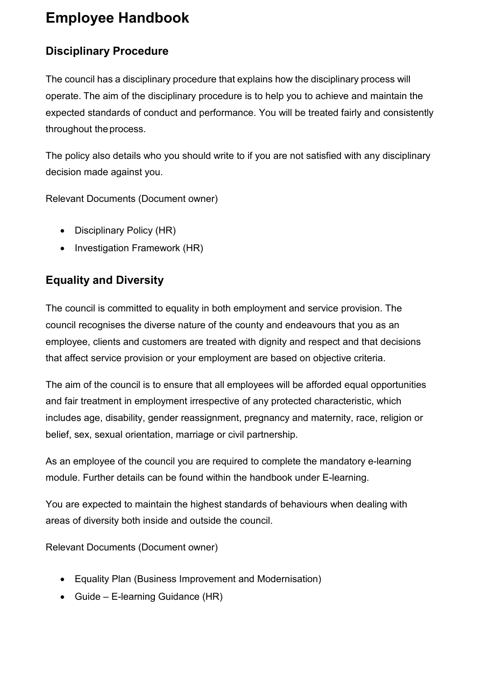#### <span id="page-14-0"></span>**Disciplinary Procedure**

The council has a disciplinary procedure that explains how the disciplinary process will operate. The aim of the disciplinary procedure is to help you to achieve and maintain the expected standards of conduct and performance. You will be treated fairly and consistently throughout theprocess.

The policy also details who you should write to if you are not satisfied with any disciplinary decision made against you.

Relevant Documents (Document owner)

- Disciplinary Policy (HR)
- Investigation Framework (HR)

#### <span id="page-14-1"></span>**Equality and Diversity**

The council is committed to equality in both employment and service provision. The council recognises the diverse nature of the county and endeavours that you as an employee, clients and customers are treated with dignity and respect and that decisions that affect service provision or your employment are based on objective criteria.

The aim of the council is to ensure that all employees will be afforded equal opportunities and fair treatment in employment irrespective of any protected characteristic, which includes age, disability, gender reassignment, pregnancy and maternity, race, religion or belief, sex, sexual orientation, marriage or civil partnership.

As an employee of the council you are required to complete the mandatory e-learning module. Further details can be found within the handbook under E-learning.

You are expected to maintain the highest standards of behaviours when dealing with areas of diversity both inside and outside the council.

Relevant Documents (Document owner)

- Equality Plan (Business Improvement and Modernisation)
- Guide E-learning Guidance (HR)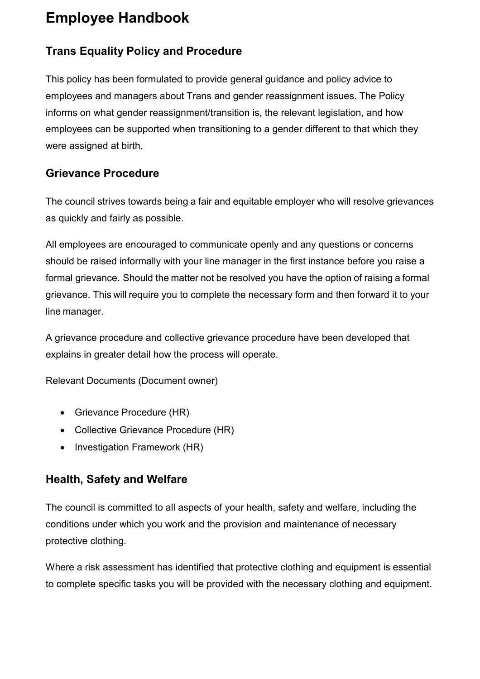#### <span id="page-15-0"></span>**Trans Equality Policy and Procedure**

This policy has been formulated to provide general guidance and policy advice to employees and managers about Trans and gender reassignment issues. The Policy informs on what gender reassignment/transition is, the relevant legislation, and how employees can be supported when transitioning to a gender different to that which they were assigned at birth.

#### <span id="page-15-1"></span>**Grievance Procedure**

The council strives towards being a fair and equitable employer who will resolve grievances as quickly and fairly as possible.

All employees are encouraged to communicate openly and any questions or concerns should be raised informally with your line manager in the first instance before you raise a formal grievance. Should the matter not be resolved you have the option of raising a formal grievance. This will require you to complete the necessary form and then forward it to your line manager.

A grievance procedure and collective grievance procedure have been developed that explains in greater detail how the process will operate.

Relevant Documents (Document owner)

- Grievance Procedure (HR)
- Collective Grievance Procedure (HR)
- Investigation Framework (HR)

#### <span id="page-15-2"></span>**Health, Safety and Welfare**

The council is committed to all aspects of your health, safety and welfare, including the conditions under which you work and the provision and maintenance of necessary protective clothing.

Where a risk assessment has identified that protective clothing and equipment is essential to complete specific tasks you will be provided with the necessary clothing and equipment.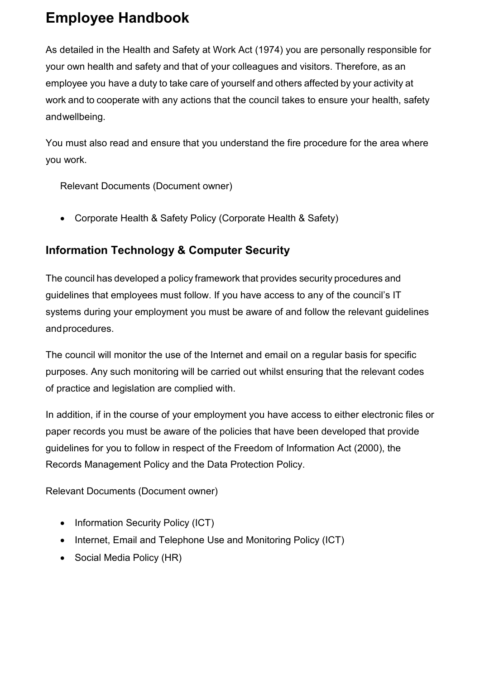As detailed in the Health and Safety at Work Act (1974) you are personally responsible for your own health and safety and that of your colleagues and visitors. Therefore, as an employee you have a duty to take care of yourself and others affected by your activity at work and to cooperate with any actions that the council takes to ensure your health, safety andwellbeing.

You must also read and ensure that you understand the fire procedure for the area where you work.

Relevant Documents (Document owner)

• Corporate Health & Safety Policy (Corporate Health & Safety)

#### <span id="page-16-0"></span>**Information Technology & Computer Security**

The council has developed a policy framework that provides security procedures and guidelines that employees must follow. If you have access to any of the council's IT systems during your employment you must be aware of and follow the relevant guidelines andprocedures.

The council will monitor the use of the Internet and email on a regular basis for specific purposes. Any such monitoring will be carried out whilst ensuring that the relevant codes of practice and legislation are complied with.

In addition, if in the course of your employment you have access to either electronic files or paper records you must be aware of the policies that have been developed that provide guidelines for you to follow in respect of the Freedom of Information Act (2000), the Records Management Policy and the Data Protection Policy.

Relevant Documents (Document owner)

- Information Security Policy (ICT)
- Internet, Email and Telephone Use and Monitoring Policy (ICT)
- Social Media Policy (HR)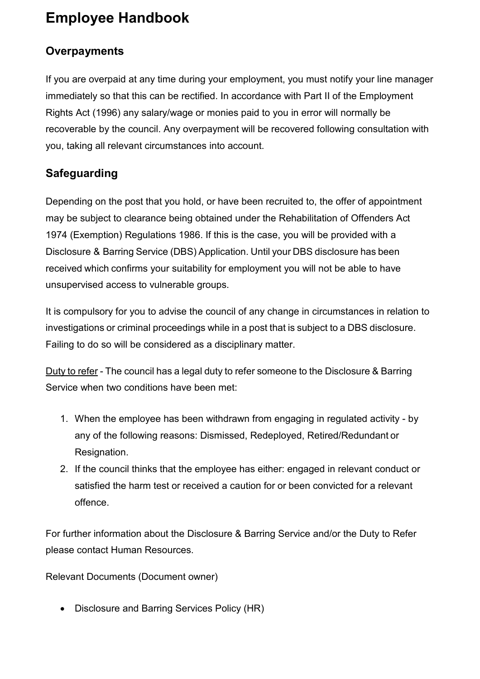#### <span id="page-17-0"></span>**Overpayments**

If you are overpaid at any time during your employment, you must notify your line manager immediately so that this can be rectified. In accordance with Part II of the Employment Rights Act (1996) any salary/wage or monies paid to you in error will normally be recoverable by the council. Any overpayment will be recovered following consultation with you, taking all relevant circumstances into account.

#### <span id="page-17-1"></span>**Safeguarding**

Depending on the post that you hold, or have been recruited to, the offer of appointment may be subject to clearance being obtained under the Rehabilitation of Offenders Act 1974 (Exemption) Regulations 1986. If this is the case, you will be provided with a Disclosure & Barring Service (DBS) Application. Until your DBS disclosure has been received which confirms your suitability for employment you will not be able to have unsupervised access to vulnerable groups.

It is compulsory for you to advise the council of any change in circumstances in relation to investigations or criminal proceedings while in a post that is subject to a DBS disclosure. Failing to do so will be considered as a disciplinary matter.

Duty to refer - The council has a legal duty to refer someone to the Disclosure & Barring Service when two conditions have been met:

- 1. When the employee has been withdrawn from engaging in regulated activity by any of the following reasons: Dismissed, Redeployed, Retired/Redundant or Resignation.
- 2. If the council thinks that the employee has either: engaged in relevant conduct or satisfied the harm test or received a caution for or been convicted for a relevant offence.

For further information about the Disclosure & Barring Service and/or the Duty to Refer please contact Human Resources.

Relevant Documents (Document owner)

• Disclosure and Barring Services Policy (HR)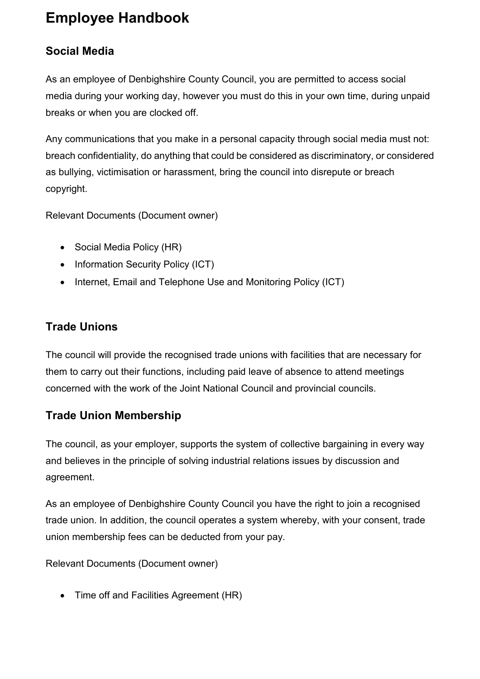#### <span id="page-18-0"></span>**Social Media**

As an employee of Denbighshire County Council, you are permitted to access social media during your working day, however you must do this in your own time, during unpaid breaks or when you are clocked off.

Any communications that you make in a personal capacity through social media must not: breach confidentiality, do anything that could be considered as discriminatory, or considered as bullying, victimisation or harassment, bring the council into disrepute or breach copyright.

Relevant Documents (Document owner)

- Social Media Policy (HR)
- Information Security Policy (ICT)
- Internet, Email and Telephone Use and Monitoring Policy (ICT)

#### <span id="page-18-1"></span>**Trade Unions**

The council will provide the recognised trade unions with facilities that are necessary for them to carry out their functions, including paid leave of absence to attend meetings concerned with the work of the Joint National Council and provincial councils.

#### <span id="page-18-2"></span>**Trade Union Membership**

The council, as your employer, supports the system of collective bargaining in every way and believes in the principle of solving industrial relations issues by discussion and agreement.

As an employee of Denbighshire County Council you have the right to join a recognised trade union. In addition, the council operates a system whereby, with your consent, trade union membership fees can be deducted from your pay.

Relevant Documents (Document owner)

• Time off and Facilities Agreement (HR)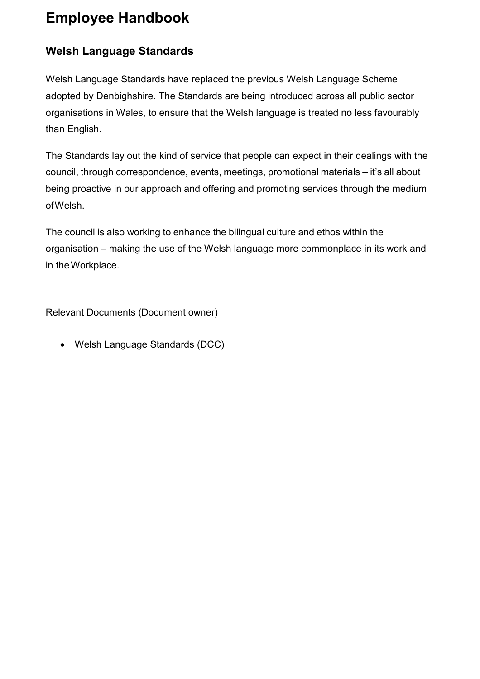#### <span id="page-19-0"></span>**Welsh Language Standards**

Welsh Language Standards have replaced the previous Welsh Language Scheme adopted by Denbighshire. The Standards are being introduced across all public sector organisations in Wales, to ensure that the Welsh language is treated no less favourably than English.

The Standards lay out the kind of service that people can expect in their dealings with the council, through correspondence, events, meetings, promotional materials – it's all about being proactive in our approach and offering and promoting services through the medium ofWelsh.

The council is also working to enhance the bilingual culture and ethos within the organisation – making the use of the Welsh language more commonplace in its work and in theWorkplace.

Relevant Documents (Document owner)

• Welsh Language Standards (DCC)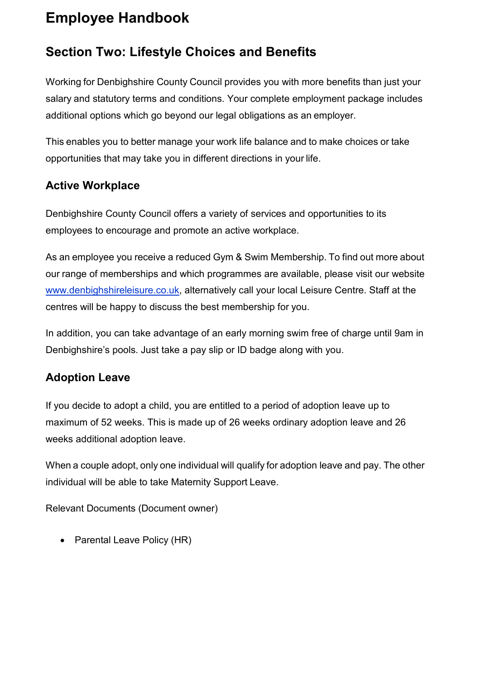#### <span id="page-20-0"></span>**Section Two: Lifestyle Choices and Benefits**

Working for Denbighshire County Council provides you with more benefits than just your salary and statutory terms and conditions. Your complete employment package includes additional options which go beyond our legal obligations as an employer.

This enables you to better manage your work life balance and to make choices or take opportunities that may take you in different directions in your life.

#### <span id="page-20-1"></span>**Active Workplace**

Denbighshire County Council offers a variety of services and opportunities to its employees to encourage and promote an active workplace.

As an employee you receive a reduced Gym & Swim Membership. To find out more about our range of memberships and which programmes are available, please visit our websit[e](http://www.denbighshireleisure.co.uk/) [www.denbighshireleisure.co.uk, a](http://www.denbighshireleisure.co.uk/)lternatively call your local Leisure Centre. Staff at the centres will be happy to discuss the best membership for you.

In addition, you can take advantage of an early morning swim free of charge until 9am in Denbighshire's pools. Just take a pay slip or ID badge along with you.

#### <span id="page-20-2"></span>**Adoption Leave**

If you decide to adopt a child, you are entitled to a period of adoption leave up to maximum of 52 weeks. This is made up of 26 weeks ordinary adoption leave and 26 weeks additional adoption leave.

When a couple adopt, only one individual will qualify for adoption leave and pay. The other individual will be able to take Maternity Support Leave.

Relevant Documents (Document owner)

• Parental Leave Policy (HR)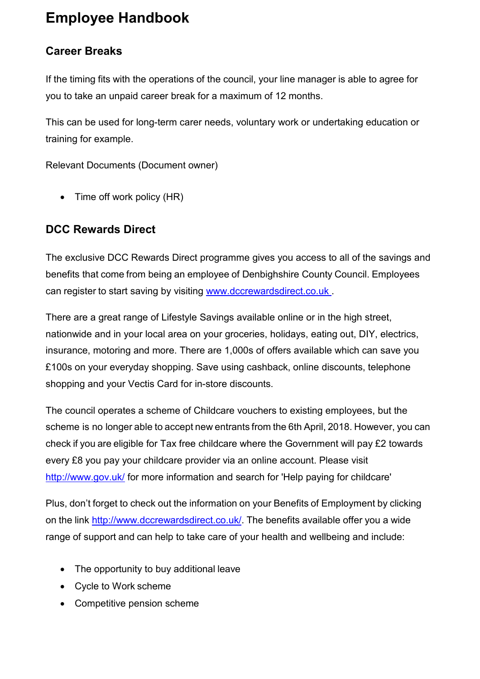#### <span id="page-21-0"></span>**Career Breaks**

If the timing fits with the operations of the council, your line manager is able to agree for you to take an unpaid career break for a maximum of 12 months.

This can be used for long-term carer needs, voluntary work or undertaking education or training for example.

Relevant Documents (Document owner)

• Time off work policy (HR)

#### <span id="page-21-1"></span>**DCC Rewards Direct**

The exclusive DCC Rewards Direct programme gives you access to all of the savings and benefits that come from being an employee of Denbighshire County Council. Employees can register to start saving by visiting [www.dccrewardsdirect.co.uk](http://www.dccrewardsdirect.co.uk/) .

There are a great range of Lifestyle Savings available online or in the high street, nationwide and in your local area on your groceries, holidays, eating out, DIY, electrics, insurance, motoring and more. There are 1,000s of offers available which can save you £100s on your everyday shopping. Save using cashback, online discounts, telephone shopping and your Vectis Card for in-store discounts.

The council operates a scheme of Childcare vouchers to existing employees, but the scheme is no longer able to accept new entrants from the 6th April, 2018. However, you can check if you are eligible for Tax free childcare where the Government will pay £2 towards every £8 you pay your childcare provider via an online account. Please visit <http://www.gov.uk/> for more information and search for 'Help paying for childcare'

Plus, don't forget to check out the information on your Benefits of Employment by clicking on the link [http://www.dccrewardsdirect.co.uk/.](http://www.dccrewardsdirect.co.uk/) The benefits available offer you a wide range of support and can help to take care of your health and wellbeing and include:

- The opportunity to buy additional leave
- Cycle to Work scheme
- Competitive pension scheme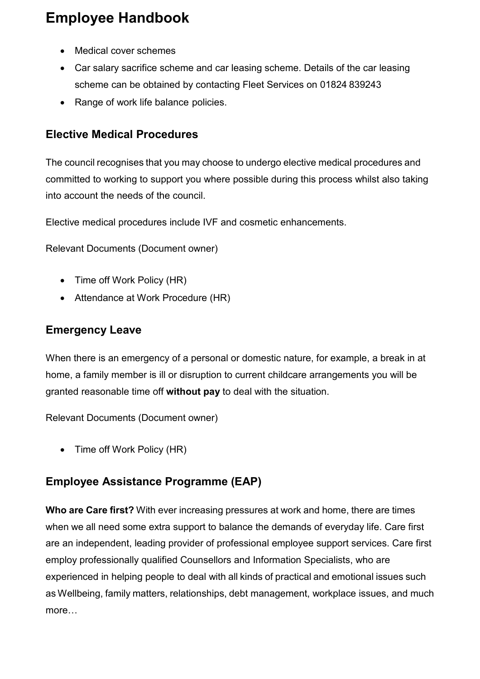- Medical cover schemes
- Car salary sacrifice scheme and car leasing scheme. Details of the car leasing scheme can be obtained by contacting Fleet Services on 01824 839243
- Range of work life balance policies.

#### <span id="page-22-0"></span>**Elective Medical Procedures**

The council recognises that you may choose to undergo elective medical procedures and committed to working to support you where possible during this process whilst also taking into account the needs of the council.

Elective medical procedures include IVF and cosmetic enhancements.

Relevant Documents (Document owner)

- Time off Work Policy (HR)
- Attendance at Work Procedure (HR)

#### <span id="page-22-1"></span>**Emergency Leave**

When there is an emergency of a personal or domestic nature, for example, a break in at home, a family member is ill or disruption to current childcare arrangements you will be granted reasonable time off **without pay** to deal with the situation.

Relevant Documents (Document owner)

• Time off Work Policy (HR)

#### <span id="page-22-2"></span>**Employee Assistance Programme (EAP)**

**Who are Care first?** With ever increasing pressures at work and home, there are times when we all need some extra support to balance the demands of everyday life. Care first are an independent, leading provider of professional employee support services. Care first employ professionally qualified Counsellors and Information Specialists, who are experienced in helping people to deal with all kinds of practical and emotional issues such as Wellbeing, family matters, relationships, debt management, workplace issues, and much more…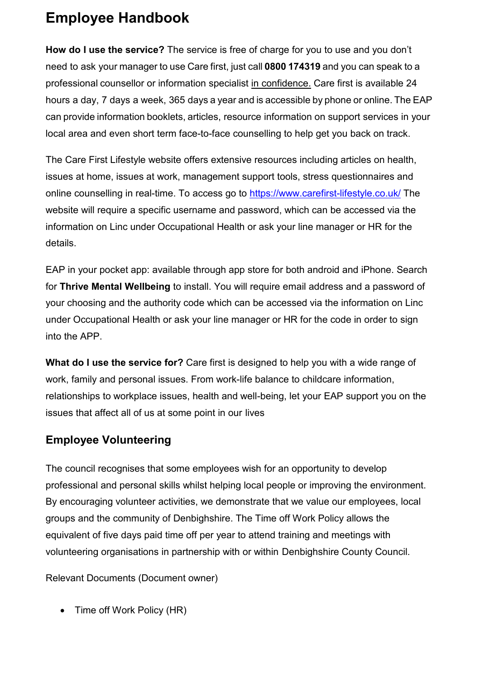**How do I use the service?** The service is free of charge for you to use and you don't need to ask your manager to use Care first, just call **0800 174319** and you can speak to a professional counsellor or information specialist in confidence. Care first is available 24 hours a day, 7 days a week, 365 days a year and is accessible by phone or online. The EAP can provide information booklets, articles, resource information on support services in your local area and even short term face-to-face counselling to help get you back on track.

The Care First Lifestyle website offers extensive resources including articles on health, issues at home, issues at work, management support tools, stress questionnaires and online counselling in real-time. To access go to<https://www.carefirst-lifestyle.co.uk/> The website will require a specific username and password, which can be accessed via the information on Linc under Occupational Health or ask your line manager or HR for the details.

EAP in your pocket app: available through app store for both android and iPhone. Search for **Thrive Mental Wellbeing** to install. You will require email address and a password of your choosing and the authority code which can be accessed via the information on Linc under Occupational Health or ask your line manager or HR for the code in order to sign into the APP.

**What do I use the service for?** Care first is designed to help you with a wide range of work, family and personal issues. From work-life balance to childcare information, relationships to workplace issues, health and well-being, let your EAP support you on the issues that affect all of us at some point in our lives

#### <span id="page-23-0"></span>**Employee Volunteering**

The council recognises that some employees wish for an opportunity to develop professional and personal skills whilst helping local people or improving the environment. By encouraging volunteer activities, we demonstrate that we value our employees, local groups and the community of Denbighshire. The Time off Work Policy allows the equivalent of five days paid time off per year to attend training and meetings with volunteering organisations in partnership with or within Denbighshire County Council.

Relevant Documents (Document owner)

• Time off Work Policy (HR)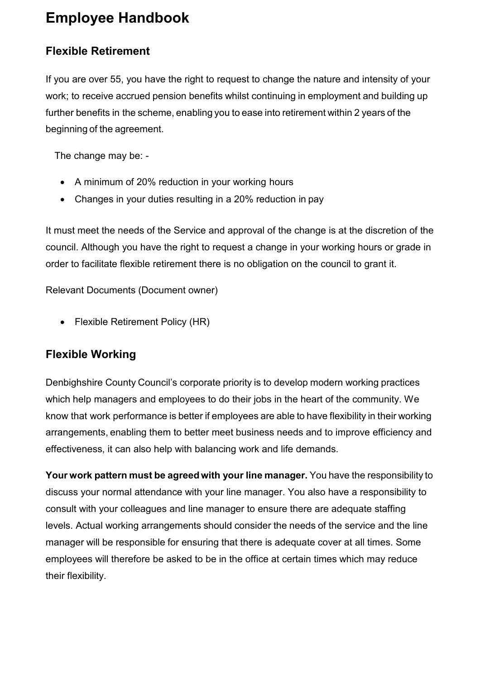#### <span id="page-24-0"></span>**Flexible Retirement**

If you are over 55, you have the right to request to change the nature and intensity of your work; to receive accrued pension benefits whilst continuing in employment and building up further benefits in the scheme, enabling you to ease into retirement within 2 years of the beginning of the agreement.

The change may be: -

- A minimum of 20% reduction in your working hours
- Changes in your duties resulting in a 20% reduction in pay

It must meet the needs of the Service and approval of the change is at the discretion of the council. Although you have the right to request a change in your working hours or grade in order to facilitate flexible retirement there is no obligation on the council to grant it.

Relevant Documents (Document owner)

• Flexible Retirement Policy (HR)

#### <span id="page-24-1"></span>**Flexible Working**

Denbighshire County Council's corporate priority is to develop modern working practices which help managers and employees to do their jobs in the heart of the community. We know that work performance is better if employees are able to have flexibility in their working arrangements, enabling them to better meet business needs and to improve efficiency and effectiveness, it can also help with balancing work and life demands.

**Your work pattern must be agreedwith your line manager.** You have the responsibility to discuss your normal attendance with your line manager. You also have a responsibility to consult with your colleagues and line manager to ensure there are adequate staffing levels. Actual working arrangements should consider the needs of the service and the line manager will be responsible for ensuring that there is adequate cover at all times. Some employees will therefore be asked to be in the office at certain times which may reduce their flexibility.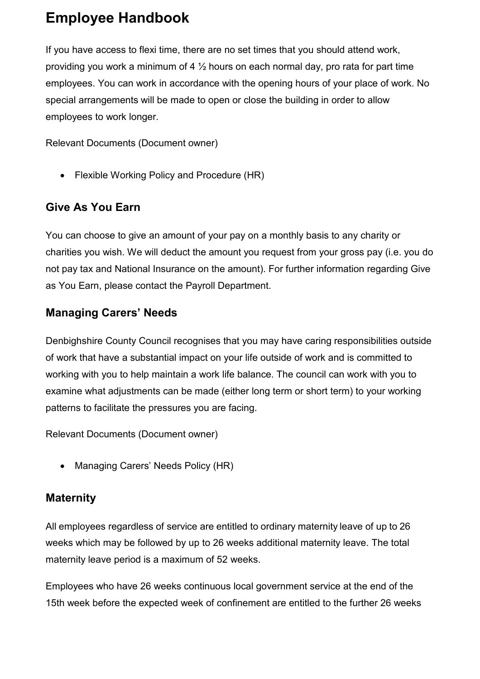If you have access to flexi time, there are no set times that you should attend work, providing you work a minimum of 4 ½ hours on each normal day, pro rata for part time employees. You can work in accordance with the opening hours of your place of work. No special arrangements will be made to open or close the building in order to allow employees to work longer.

Relevant Documents (Document owner)

• Flexible Working Policy and Procedure (HR)

#### <span id="page-25-0"></span>**Give As You Earn**

You can choose to give an amount of your pay on a monthly basis to any charity or charities you wish. We will deduct the amount you request from your gross pay (i.e. you do not pay tax and National Insurance on the amount). For further information regarding Give as You Earn, please contact the Payroll Department.

#### <span id="page-25-1"></span>**Managing Carers' Needs**

Denbighshire County Council recognises that you may have caring responsibilities outside of work that have a substantial impact on your life outside of work and is committed to working with you to help maintain a work life balance. The council can work with you to examine what adjustments can be made (either long term or short term) to your working patterns to facilitate the pressures you are facing.

Relevant Documents (Document owner)

• Managing Carers' Needs Policy (HR)

#### <span id="page-25-2"></span>**Maternity**

All employees regardless of service are entitled to ordinary maternity leave of up to 26 weeks which may be followed by up to 26 weeks additional maternity leave. The total maternity leave period is a maximum of 52 weeks.

Employees who have 26 weeks continuous local government service at the end of the 15th week before the expected week of confinement are entitled to the further 26 weeks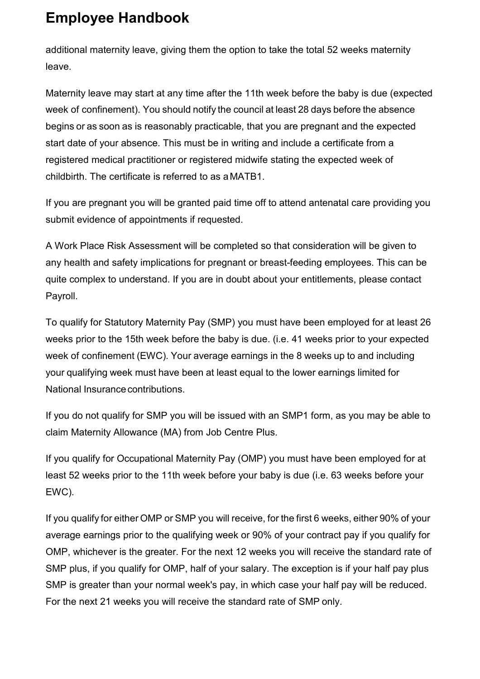additional maternity leave, giving them the option to take the total 52 weeks maternity leave.

Maternity leave may start at any time after the 11th week before the baby is due (expected week of confinement). You should notify the council at least 28 days before the absence begins or as soon as is reasonably practicable, that you are pregnant and the expected start date of your absence. This must be in writing and include a certificate from a registered medical practitioner or registered midwife stating the expected week of childbirth. The certificate is referred to as aMATB1.

If you are pregnant you will be granted paid time off to attend antenatal care providing you submit evidence of appointments if requested.

A Work Place Risk Assessment will be completed so that consideration will be given to any health and safety implications for pregnant or breast-feeding employees. This can be quite complex to understand. If you are in doubt about your entitlements, please contact Payroll.

To qualify for Statutory Maternity Pay (SMP) you must have been employed for at least 26 weeks prior to the 15th week before the baby is due. (i.e. 41 weeks prior to your expected week of confinement (EWC). Your average earnings in the 8 weeks up to and including your qualifying week must have been at least equal to the lower earnings limited for National Insurance contributions.

If you do not qualify for SMP you will be issued with an SMP1 form, as you may be able to claim Maternity Allowance (MA) from Job Centre Plus.

If you qualify for Occupational Maternity Pay (OMP) you must have been employed for at least 52 weeks prior to the 11th week before your baby is due (i.e. 63 weeks before your EWC).

If you qualify for either OMP or SMP you will receive, for the first 6 weeks, either 90% of your average earnings prior to the qualifying week or 90% of your contract pay if you qualify for OMP, whichever is the greater. For the next 12 weeks you will receive the standard rate of SMP plus, if you qualify for OMP, half of your salary. The exception is if your half pay plus SMP is greater than your normal week's pay, in which case your half pay will be reduced. For the next 21 weeks you will receive the standard rate of SMP only.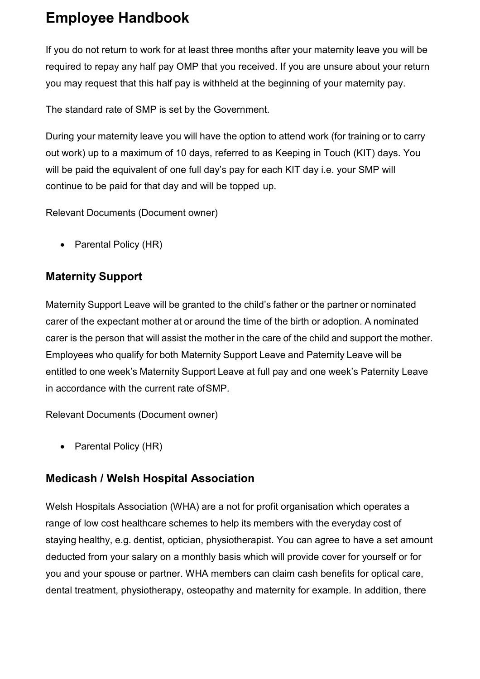If you do not return to work for at least three months after your maternity leave you will be required to repay any half pay OMP that you received. If you are unsure about your return you may request that this half pay is withheld at the beginning of your maternity pay.

The standard rate of SMP is set by the Government.

During your maternity leave you will have the option to attend work (for training or to carry out work) up to a maximum of 10 days, referred to as Keeping in Touch (KIT) days. You will be paid the equivalent of one full day's pay for each KIT day i.e. your SMP will continue to be paid for that day and will be topped up.

Relevant Documents (Document owner)

• Parental Policy (HR)

#### <span id="page-27-0"></span>**Maternity Support**

Maternity Support Leave will be granted to the child's father or the partner or nominated carer of the expectant mother at or around the time of the birth or adoption. A nominated carer is the person that will assist the mother in the care of the child and support the mother. Employees who qualify for both Maternity Support Leave and Paternity Leave will be entitled to one week's Maternity Support Leave at full pay and one week's Paternity Leave in accordance with the current rate ofSMP.

Relevant Documents (Document owner)

• Parental Policy (HR)

#### <span id="page-27-1"></span>**Medicash / Welsh Hospital Association**

Welsh Hospitals Association (WHA) are a not for profit organisation which operates a range of low cost healthcare schemes to help its members with the everyday cost of staying healthy, e.g. dentist, optician, physiotherapist. You can agree to have a set amount deducted from your salary on a monthly basis which will provide cover for yourself or for you and your spouse or partner. WHA members can claim cash benefits for optical care, dental treatment, physiotherapy, osteopathy and maternity for example. In addition, there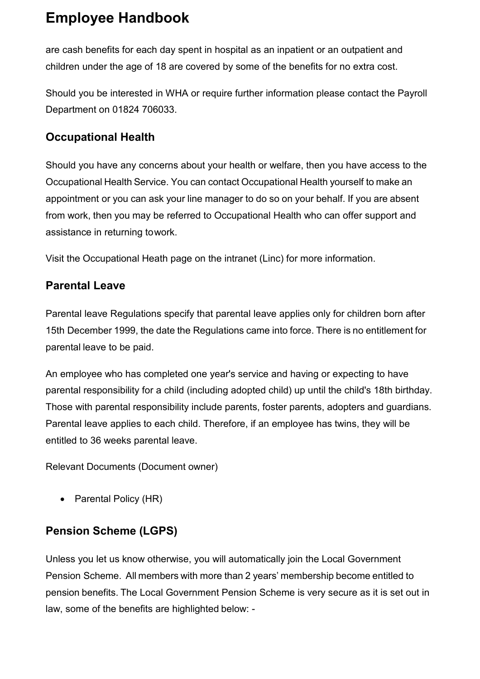are cash benefits for each day spent in hospital as an inpatient or an outpatient and children under the age of 18 are covered by some of the benefits for no extra cost.

Should you be interested in WHA or require further information please contact the Payroll Department on 01824 706033.

#### <span id="page-28-0"></span>**Occupational Health**

Should you have any concerns about your health or welfare, then you have access to the Occupational Health Service. You can contact Occupational Health yourself to make an appointment or you can ask your line manager to do so on your behalf. If you are absent from work, then you may be referred to Occupational Health who can offer support and assistance in returning towork.

Visit the Occupational Heath page on the intranet (Linc) for more information.

#### <span id="page-28-1"></span>**Parental Leave**

Parental leave Regulations specify that parental leave applies only for children born after 15th December 1999, the date the Regulations came into force. There is no entitlement for parental leave to be paid.

An employee who has completed one year's service and having or expecting to have parental responsibility for a child (including adopted child) up until the child's 18th birthday. Those with parental responsibility include parents, foster parents, adopters and guardians. Parental leave applies to each child. Therefore, if an employee has twins, they will be entitled to 36 weeks parental leave.

Relevant Documents (Document owner)

• Parental Policy (HR)

#### <span id="page-28-2"></span>**Pension Scheme (LGPS)**

Unless you let us know otherwise, you will automatically join the Local Government Pension Scheme. All members with more than 2 years' membership become entitled to pension benefits. The Local Government Pension Scheme is very secure as it is set out in law, some of the benefits are highlighted below: -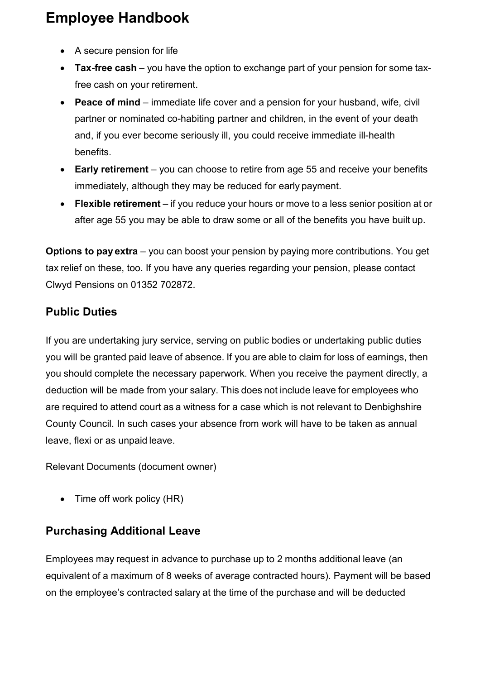- A secure pension for life
- **Tax-free cash** you have the option to exchange part of your pension for some taxfree cash on your retirement.
- **Peace of mind**  immediate life cover and a pension for your husband, wife, civil partner or nominated co-habiting partner and children, in the event of your death and, if you ever become seriously ill, you could receive immediate ill-health benefits.
- **Early retirement**  you can choose to retire from age 55 and receive your benefits immediately, although they may be reduced for early payment.
- **Flexible retirement** if you reduce your hours or move to a less senior position at or after age 55 you may be able to draw some or all of the benefits you have built up.

**Options to pay extra** – you can boost your pension by paying more contributions. You get tax relief on these, too. If you have any queries regarding your pension, please contact Clwyd Pensions on 01352 702872.

#### <span id="page-29-0"></span>**Public Duties**

If you are undertaking jury service, serving on public bodies or undertaking public duties you will be granted paid leave of absence. If you are able to claim for loss of earnings, then you should complete the necessary paperwork. When you receive the payment directly, a deduction will be made from your salary. This does not include leave for employees who are required to attend court as a witness for a case which is not relevant to Denbighshire County Council. In such cases your absence from work will have to be taken as annual leave, flexi or as unpaid leave.

Relevant Documents (document owner)

• Time off work policy (HR)

#### <span id="page-29-1"></span>**Purchasing Additional Leave**

Employees may request in advance to purchase up to 2 months additional leave (an equivalent of a maximum of 8 weeks of average contracted hours). Payment will be based on the employee's contracted salary at the time of the purchase and will be deducted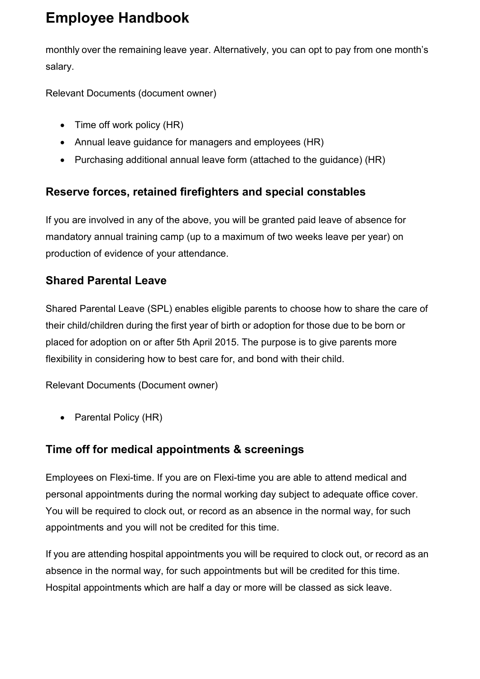monthly over the remaining leave year. Alternatively, you can opt to pay from one month's salary.

Relevant Documents (document owner)

- Time off work policy (HR)
- Annual leave guidance for managers and employees (HR)
- Purchasing additional annual leave form (attached to the guidance) (HR)

#### <span id="page-30-0"></span>**Reserve forces, retained firefighters and special constables**

If you are involved in any of the above, you will be granted paid leave of absence for mandatory annual training camp (up to a maximum of two weeks leave per year) on production of evidence of your attendance.

#### <span id="page-30-1"></span>**Shared Parental Leave**

Shared Parental Leave (SPL) enables eligible parents to choose how to share the care of their child/children during the first year of birth or adoption for those due to be born or placed for adoption on or after 5th April 2015. The purpose is to give parents more flexibility in considering how to best care for, and bond with their child.

Relevant Documents (Document owner)

• Parental Policy (HR)

#### <span id="page-30-2"></span>**Time off for medical appointments & screenings**

Employees on Flexi-time. If you are on Flexi-time you are able to attend medical and personal appointments during the normal working day subject to adequate office cover. You will be required to clock out, or record as an absence in the normal way, for such appointments and you will not be credited for this time.

If you are attending hospital appointments you will be required to clock out, or record as an absence in the normal way, for such appointments but will be credited for this time. Hospital appointments which are half a day or more will be classed as sick leave.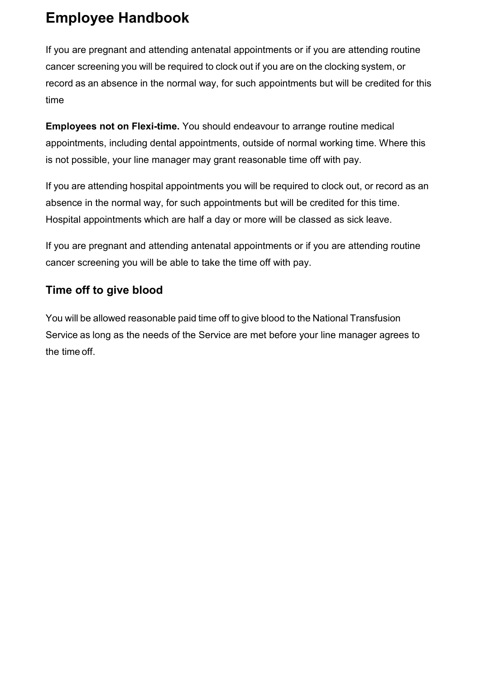If you are pregnant and attending antenatal appointments or if you are attending routine cancer screening you will be required to clock out if you are on the clocking system, or record as an absence in the normal way, for such appointments but will be credited for this time

**Employees not on Flexi-time.** You should endeavour to arrange routine medical appointments, including dental appointments, outside of normal working time. Where this is not possible, your line manager may grant reasonable time off with pay.

If you are attending hospital appointments you will be required to clock out, or record as an absence in the normal way, for such appointments but will be credited for this time. Hospital appointments which are half a day or more will be classed as sick leave.

If you are pregnant and attending antenatal appointments or if you are attending routine cancer screening you will be able to take the time off with pay.

#### <span id="page-31-0"></span>**Time off to give blood**

You will be allowed reasonable paid time off to give blood to the National Transfusion Service as long as the needs of the Service are met before your line manager agrees to the time off.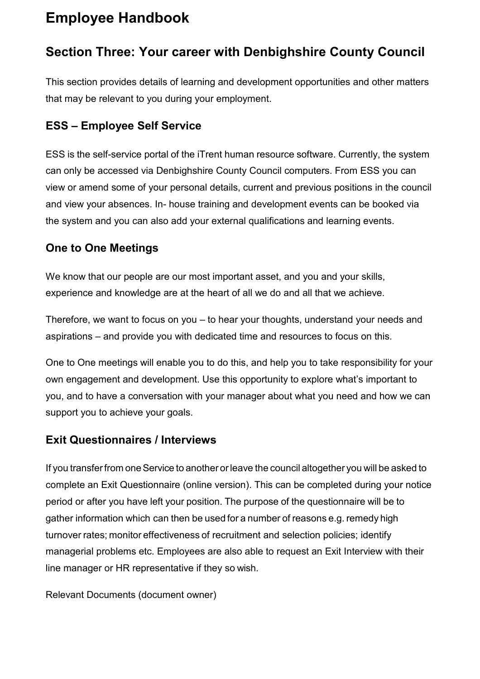#### <span id="page-32-0"></span>**Section Three: Your career with Denbighshire County Council**

This section provides details of learning and development opportunities and other matters that may be relevant to you during your employment.

#### <span id="page-32-1"></span>**ESS – Employee Self Service**

ESS is the self-service portal of the iTrent human resource software. Currently, the system can only be accessed via Denbighshire County Council computers. From ESS you can view or amend some of your personal details, current and previous positions in the council and view your absences. In- house training and development events can be booked via the system and you can also add your external qualifications and learning events.

#### <span id="page-32-2"></span>**One to One Meetings**

We know that our people are our most important asset, and you and your skills, experience and knowledge are at the heart of all we do and all that we achieve.

Therefore, we want to focus on you – to hear your thoughts, understand your needs and aspirations – and provide you with dedicated time and resources to focus on this.

One to One meetings will enable you to do this, and help you to take responsibility for your own engagement and development. Use this opportunity to explore what's important to you, and to have a conversation with your manager about what you need and how we can support you to achieve your goals.

#### <span id="page-32-3"></span>**Exit Questionnaires / Interviews**

If you transfer from one Service to another or leave the council altogether you will be asked to complete an Exit Questionnaire (online version). This can be completed during your notice period or after you have left your position. The purpose of the questionnaire will be to gather information which can then be used for a number of reasons e.g. remedy high turnover rates; monitor effectiveness of recruitment and selection policies; identify managerial problems etc. Employees are also able to request an Exit Interview with their line manager or HR representative if they so wish.

Relevant Documents (document owner)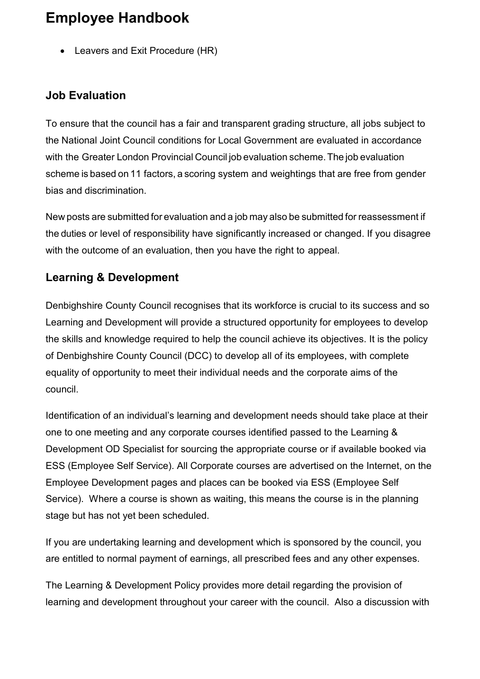• Leavers and Exit Procedure (HR)

#### <span id="page-33-0"></span>**Job Evaluation**

To ensure that the council has a fair and transparent grading structure, all jobs subject to the National Joint Council conditions for Local Government are evaluated in accordance with the Greater London Provincial Council job evaluation scheme. The job evaluation scheme is based on 11 factors, a scoring system and weightings that are free from gender bias and discrimination.

New posts are submitted for evaluation and a job may also be submitted for reassessment if the duties or level of responsibility have significantly increased or changed. If you disagree with the outcome of an evaluation, then you have the right to appeal.

#### <span id="page-33-1"></span>**Learning & Development**

Denbighshire County Council recognises that its workforce is crucial to its success and so Learning and Development will provide a structured opportunity for employees to develop the skills and knowledge required to help the council achieve its objectives. It is the policy of Denbighshire County Council (DCC) to develop all of its employees, with complete equality of opportunity to meet their individual needs and the corporate aims of the council.

Identification of an individual's learning and development needs should take place at their one to one meeting and any corporate courses identified passed to the Learning & Development OD Specialist for sourcing the appropriate course or if available booked via ESS (Employee Self Service). All Corporate courses are advertised on the Internet, on the Employee Development pages and places can be booked via ESS (Employee Self Service). Where a course is shown as waiting, this means the course is in the planning stage but has not yet been scheduled.

If you are undertaking learning and development which is sponsored by the council, you are entitled to normal payment of earnings, all prescribed fees and any other expenses.

The Learning & Development Policy provides more detail regarding the provision of learning and development throughout your career with the council. Also a discussion with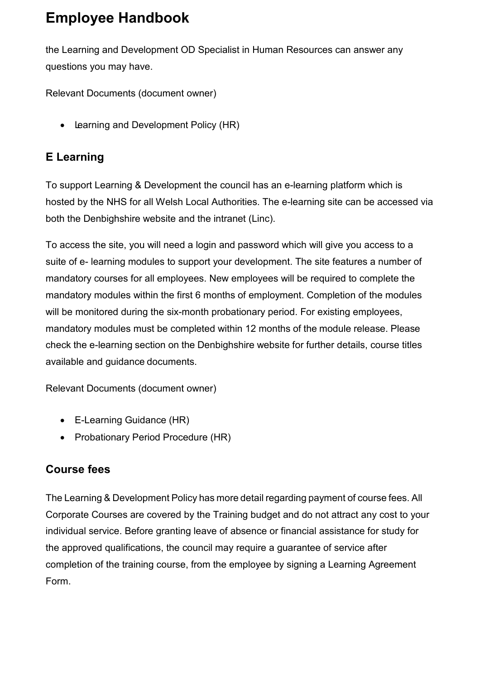the Learning and Development OD Specialist in Human Resources can answer any questions you may have.

Relevant Documents (document owner)

• Learning and Development Policy (HR)

#### <span id="page-34-0"></span>**E Learning**

To support Learning & Development the council has an e-learning platform which is hosted by the NHS for all Welsh Local Authorities. The e-learning site can be accessed via both the Denbighshire website and the intranet (Linc).

To access the site, you will need a login and password which will give you access to a suite of e- learning modules to support your development. The site features a number of mandatory courses for all employees. New employees will be required to complete the mandatory modules within the first 6 months of employment. Completion of the modules will be monitored during the six-month probationary period. For existing employees, mandatory modules must be completed within 12 months of the module release. Please check the e-learning section on the Denbighshire website for further details, course titles available and guidance documents.

Relevant Documents (document owner)

- E-Learning Guidance (HR)
- Probationary Period Procedure (HR)

#### <span id="page-34-1"></span>**Course fees**

The Learning & Development Policy has more detail regarding payment of course fees. All Corporate Courses are covered by the Training budget and do not attract any cost to your individual service. Before granting leave of absence or financial assistance for study for the approved qualifications, the council may require a guarantee of service after completion of the training course, from the employee by signing a Learning Agreement Form.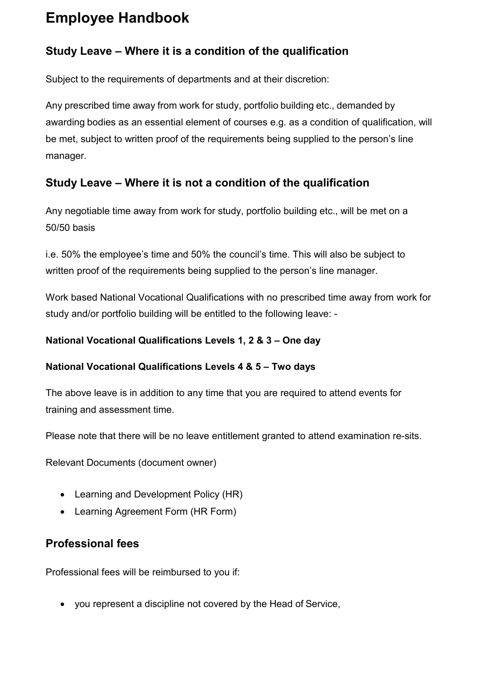#### <span id="page-35-0"></span>**Study Leave – Where it is a condition of the qualification**

Subject to the requirements of departments and at their discretion:

Any prescribed time away from work for study, portfolio building etc., demanded by awarding bodies as an essential element of courses e.g. as a condition of qualification, will be met, subject to written proof of the requirements being supplied to the person's line manager.

#### <span id="page-35-1"></span>**Study Leave – Where it is not a condition of the qualification**

Any negotiable time away from work for study, portfolio building etc., will be met on a 50/50 basis

i.e. 50% the employee's time and 50% the council's time. This will also be subject to written proof of the requirements being supplied to the person's line manager.

Work based National Vocational Qualifications with no prescribed time away from work for study and/or portfolio building will be entitled to the following leave: -

#### **National Vocational Qualifications Levels 1, 2 & 3 – One day**

#### **National Vocational Qualifications Levels 4 & 5 – Two days**

The above leave is in addition to any time that you are required to attend events for training and assessment time.

Please note that there will be no leave entitlement granted to attend examination re-sits.

Relevant Documents (document owner)

- Learning and Development Policy (HR)
- Learning Agreement Form (HR Form)

#### <span id="page-35-2"></span>**Professional fees**

Professional fees will be reimbursed to you if:

• you represent a discipline not covered by the Head of Service,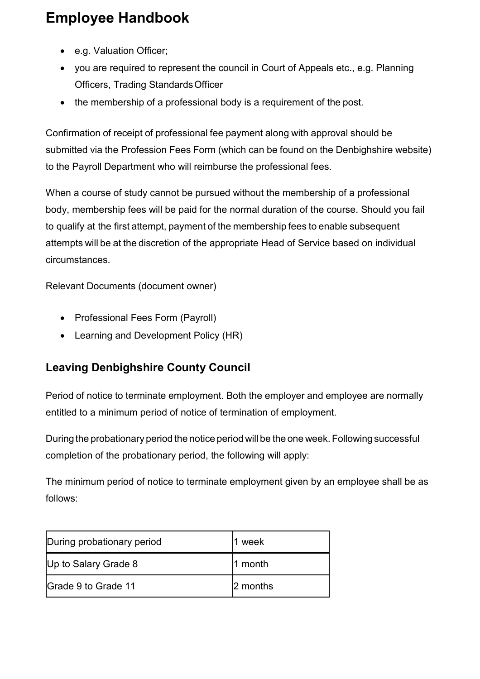- e.g. Valuation Officer;
- you are required to represent the council in Court of Appeals etc., e.g. Planning Officers, Trading StandardsOfficer
- the membership of a professional body is a requirement of the post.

Confirmation of receipt of professional fee payment along with approval should be submitted via the Profession Fees Form (which can be found on the Denbighshire website) to the Payroll Department who will reimburse the professional fees.

When a course of study cannot be pursued without the membership of a professional body, membership fees will be paid for the normal duration of the course. Should you fail to qualify at the first attempt, payment of the membership fees to enable subsequent attempts will be at the discretion of the appropriate Head of Service based on individual circumstances.

Relevant Documents (document owner)

- Professional Fees Form (Payroll)
- Learning and Development Policy (HR)

#### <span id="page-36-0"></span>**Leaving Denbighshire County Council**

Period of notice to terminate employment. Both the employer and employee are normally entitled to a minimum period of notice of termination of employment.

During the probationary period the notice period will be the one week. Following successful completion of the probationary period, the following will apply:

The minimum period of notice to terminate employment given by an employee shall be as follows:

| During probationary period | week     |
|----------------------------|----------|
| Up to Salary Grade 8       | month    |
| Grade 9 to Grade 11        | 2 months |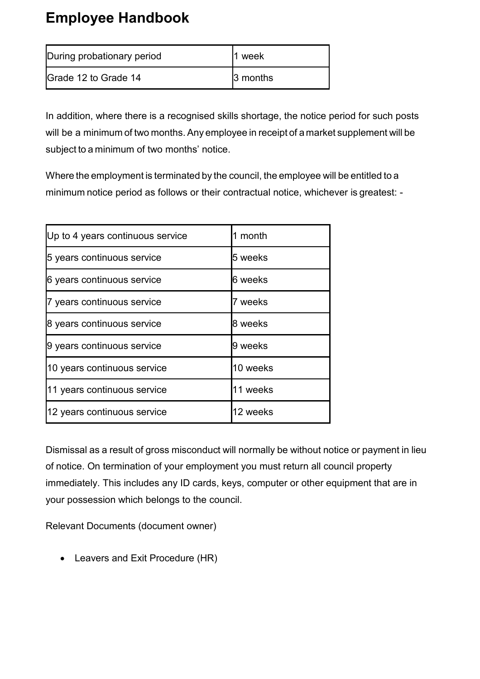| During probationary period   | week            |
|------------------------------|-----------------|
| <b>IGrade 12 to Grade 14</b> | <b>3</b> months |

In addition, where there is a recognised skills shortage, the notice period for such posts will be a minimum of two months. Any employee in receipt of a market supplement will be subject to a minimum of two months' notice.

Where the employment is terminated by the council, the employee will be entitled to a minimum notice period as follows or their contractual notice, whichever is greatest: -

| Up to 4 years continuous service | 1 month  |
|----------------------------------|----------|
| 5 years continuous service       | 5 weeks  |
| 6 years continuous service       | 6 weeks  |
| 7 years continuous service       | 7 weeks  |
| 8 years continuous service       | 8 weeks  |
| 9 years continuous service       | 9 weeks  |
| 10 years continuous service      | 10 weeks |
| 11 years continuous service      | 11 weeks |
| 12 years continuous service      | 12 weeks |

Dismissal as a result of gross misconduct will normally be without notice or payment in lieu of notice. On termination of your employment you must return all council property immediately. This includes any ID cards, keys, computer or other equipment that are in your possession which belongs to the council.

Relevant Documents (document owner)

• Leavers and Exit Procedure (HR)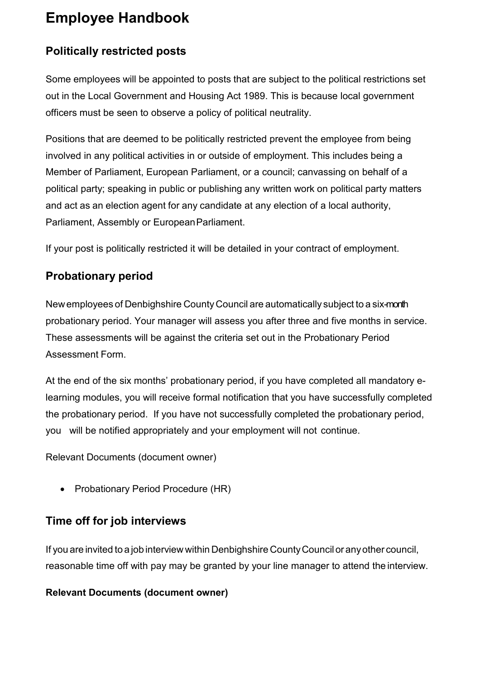#### <span id="page-38-0"></span>**Politically restricted posts**

Some employees will be appointed to posts that are subject to the political restrictions set out in the Local Government and Housing Act 1989. This is because local government officers must be seen to observe a policy of political neutrality.

Positions that are deemed to be politically restricted prevent the employee from being involved in any political activities in or outside of employment. This includes being a Member of Parliament, European Parliament, or a council; canvassing on behalf of a political party; speaking in public or publishing any written work on political party matters and act as an election agent for any candidate at any election of a local authority, Parliament, Assembly or EuropeanParliament.

If your post is politically restricted it will be detailed in your contract of employment.

#### <span id="page-38-1"></span>**Probationary period**

Newemployees of Denbighshire County Council are automatically subject to a six-month probationary period. Your manager will assess you after three and five months in service. These assessments will be against the criteria set out in the Probationary Period Assessment Form.

At the end of the six months' probationary period, if you have completed all mandatory elearning modules, you will receive formal notification that you have successfully completed the probationary period. If you have not successfully completed the probationary period, you will be notified appropriately and your employment will not continue.

Relevant Documents (document owner)

• Probationary Period Procedure (HR)

#### <span id="page-38-2"></span>**Time off for job interviews**

If you are invited to a job interview within Denbighshire CountyCouncilor anyother council, reasonable time off with pay may be granted by your line manager to attend the interview.

#### **Relevant Documents (document owner)**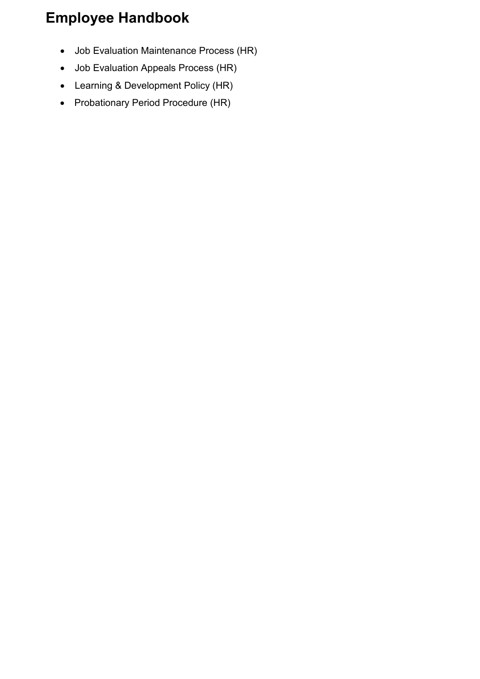- Job Evaluation Maintenance Process (HR)
- Job Evaluation Appeals Process (HR)
- Learning & Development Policy (HR)
- Probationary Period Procedure (HR)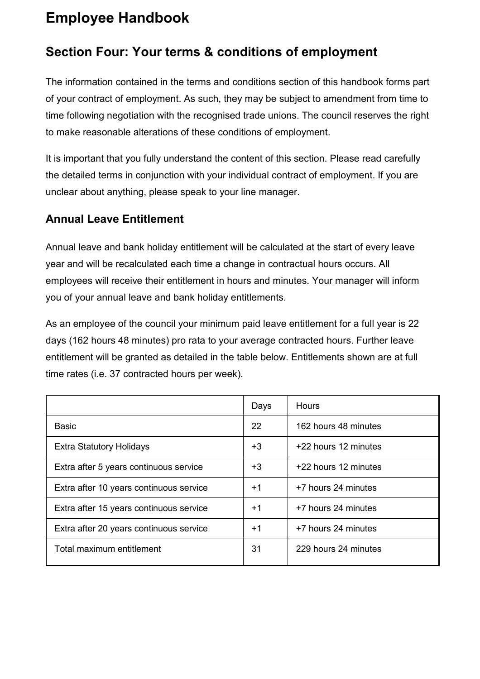#### <span id="page-40-0"></span>**Section Four: Your terms & conditions of employment**

The information contained in the terms and conditions section of this handbook forms part of your contract of employment. As such, they may be subject to amendment from time to time following negotiation with the recognised trade unions. The council reserves the right to make reasonable alterations of these conditions of employment.

It is important that you fully understand the content of this section. Please read carefully the detailed terms in conjunction with your individual contract of employment. If you are unclear about anything, please speak to your line manager.

#### <span id="page-40-1"></span>**Annual Leave Entitlement**

Annual leave and bank holiday entitlement will be calculated at the start of every leave year and will be recalculated each time a change in contractual hours occurs. All employees will receive their entitlement in hours and minutes. Your manager will inform you of your annual leave and bank holiday entitlements.

As an employee of the council your minimum paid leave entitlement for a full year is 22 days (162 hours 48 minutes) pro rata to your average contracted hours. Further leave entitlement will be granted as detailed in the table below. Entitlements shown are at full time rates (i.e. 37 contracted hours per week).

|                                         | Days | <b>Hours</b>         |
|-----------------------------------------|------|----------------------|
| <b>Basic</b>                            | 22   | 162 hours 48 minutes |
| <b>Extra Statutory Holidays</b>         | +3   | +22 hours 12 minutes |
| Extra after 5 years continuous service  | +3   | +22 hours 12 minutes |
| Extra after 10 years continuous service | $+1$ | +7 hours 24 minutes  |
| Extra after 15 years continuous service | $+1$ | +7 hours 24 minutes  |
| Extra after 20 years continuous service | $+1$ | +7 hours 24 minutes  |
| Total maximum entitlement               | 31   | 229 hours 24 minutes |
|                                         |      |                      |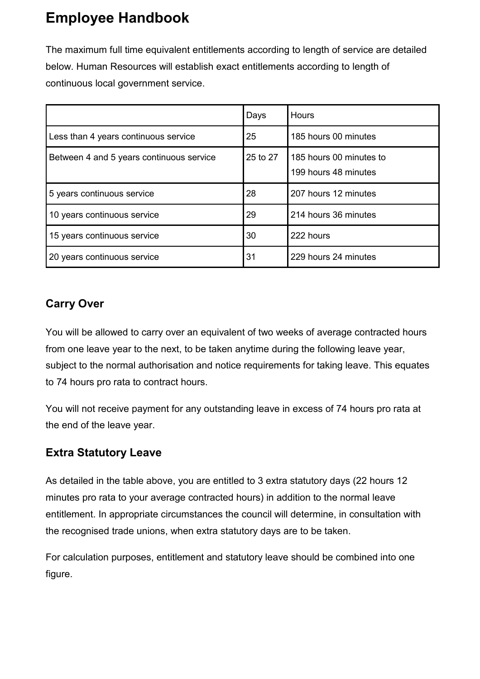The maximum full time equivalent entitlements according to length of service are detailed below. Human Resources will establish exact entitlements according to length of continuous local government service.

|                                          | Days     | Hours                                           |
|------------------------------------------|----------|-------------------------------------------------|
| Less than 4 years continuous service     | 25       | 185 hours 00 minutes                            |
| Between 4 and 5 years continuous service | 25 to 27 | 185 hours 00 minutes to<br>199 hours 48 minutes |
| 5 years continuous service               | 28       | 207 hours 12 minutes                            |
| 10 years continuous service              | 29       | 214 hours 36 minutes                            |
| 15 years continuous service              | 30       | 222 hours                                       |
| 20 years continuous service              | 31       | 229 hours 24 minutes                            |

#### <span id="page-41-0"></span>**Carry Over**

You will be allowed to carry over an equivalent of two weeks of average contracted hours from one leave year to the next, to be taken anytime during the following leave year, subject to the normal authorisation and notice requirements for taking leave. This equates to 74 hours pro rata to contract hours.

You will not receive payment for any outstanding leave in excess of 74 hours pro rata at the end of the leave year.

#### <span id="page-41-1"></span>**Extra Statutory Leave**

As detailed in the table above, you are entitled to 3 extra statutory days (22 hours 12 minutes pro rata to your average contracted hours) in addition to the normal leave entitlement. In appropriate circumstances the council will determine, in consultation with the recognised trade unions, when extra statutory days are to be taken.

For calculation purposes, entitlement and statutory leave should be combined into one figure.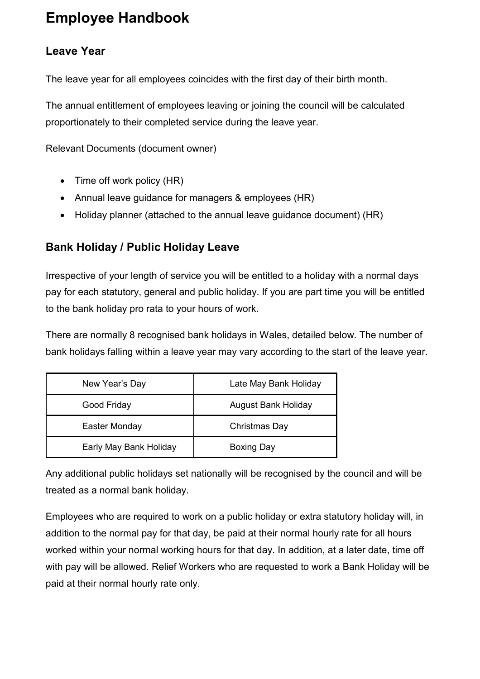#### <span id="page-42-0"></span>**Leave Year**

The leave year for all employees coincides with the first day of their birth month.

The annual entitlement of employees leaving or joining the council will be calculated proportionately to their completed service during the leave year.

Relevant Documents (document owner)

- Time off work policy (HR)
- Annual leave guidance for managers & employees (HR)
- Holiday planner (attached to the annual leave guidance document) (HR)

#### <span id="page-42-1"></span>**Bank Holiday / Public Holiday Leave**

Irrespective of your length of service you will be entitled to a holiday with a normal days pay for each statutory, general and public holiday. If you are part time you will be entitled to the bank holiday pro rata to your hours of work.

There are normally 8 recognised bank holidays in Wales, detailed below. The number of bank holidays falling within a leave year may vary according to the start of the leave year.

| New Year's Day         | Late May Bank Holiday      |
|------------------------|----------------------------|
| Good Friday            | <b>August Bank Holiday</b> |
| Easter Monday          | Christmas Day              |
| Early May Bank Holiday | <b>Boxing Day</b>          |

Any additional public holidays set nationally will be recognised by the council and will be treated as a normal bank holiday.

Employees who are required to work on a public holiday or extra statutory holiday will, in addition to the normal pay for that day, be paid at their normal hourly rate for all hours worked within your normal working hours for that day. In addition, at a later date, time off with pay will be allowed. Relief Workers who are requested to work a Bank Holiday will be paid at their normal hourly rate only.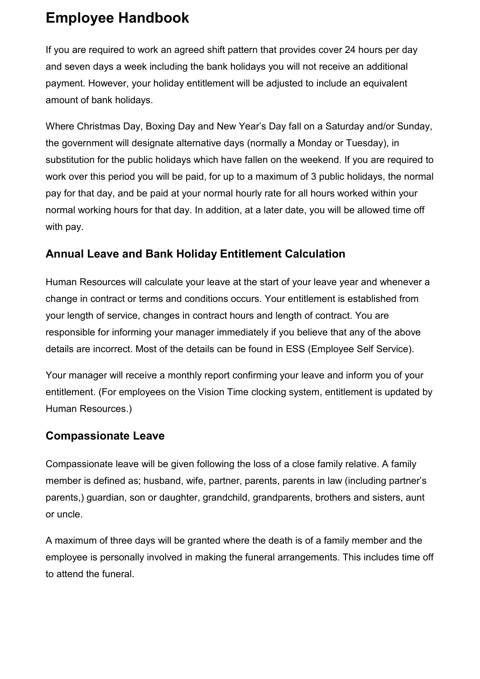If you are required to work an agreed shift pattern that provides cover 24 hours per day and seven days a week including the bank holidays you will not receive an additional payment. However, your holiday entitlement will be adjusted to include an equivalent amount of bank holidays.

Where Christmas Day, Boxing Day and New Year's Day fall on a Saturday and/or Sunday, the government will designate alternative days (normally a Monday or Tuesday), in substitution for the public holidays which have fallen on the weekend. If you are required to work over this period you will be paid, for up to a maximum of 3 public holidays, the normal pay for that day, and be paid at your normal hourly rate for all hours worked within your normal working hours for that day. In addition, at a later date, you will be allowed time off with pay.

#### <span id="page-43-0"></span>**Annual Leave and Bank Holiday Entitlement Calculation**

Human Resources will calculate your leave at the start of your leave year and whenever a change in contract or terms and conditions occurs. Your entitlement is established from your length of service, changes in contract hours and length of contract. You are responsible for informing your manager immediately if you believe that any of the above details are incorrect. Most of the details can be found in ESS (Employee Self Service).

Your manager will receive a monthly report confirming your leave and inform you of your entitlement. (For employees on the Vision Time clocking system, entitlement is updated by Human Resources.)

#### <span id="page-43-1"></span>**Compassionate Leave**

Compassionate leave will be given following the loss of a close family relative. A family member is defined as; husband, wife, partner, parents, parents in law (including partner's parents,) guardian, son or daughter, grandchild, grandparents, brothers and sisters, aunt or uncle.

A maximum of three days will be granted where the death is of a family member and the employee is personally involved in making the funeral arrangements. This includes time off to attend the funeral.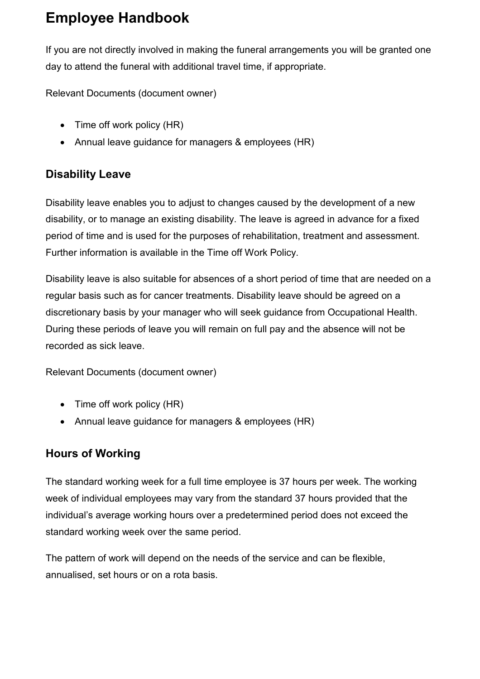If you are not directly involved in making the funeral arrangements you will be granted one day to attend the funeral with additional travel time, if appropriate.

Relevant Documents (document owner)

- Time off work policy (HR)
- Annual leave guidance for managers & employees (HR)

#### <span id="page-44-0"></span>**Disability Leave**

Disability leave enables you to adjust to changes caused by the development of a new disability, or to manage an existing disability. The leave is agreed in advance for a fixed period of time and is used for the purposes of rehabilitation, treatment and assessment. Further information is available in the Time off Work Policy.

Disability leave is also suitable for absences of a short period of time that are needed on a regular basis such as for cancer treatments. Disability leave should be agreed on a discretionary basis by your manager who will seek guidance from Occupational Health. During these periods of leave you will remain on full pay and the absence will not be recorded as sick leave.

Relevant Documents (document owner)

- Time off work policy (HR)
- Annual leave guidance for managers & employees (HR)

#### <span id="page-44-1"></span>**Hours of Working**

The standard working week for a full time employee is 37 hours per week. The working week of individual employees may vary from the standard 37 hours provided that the individual's average working hours over a predetermined period does not exceed the standard working week over the same period.

The pattern of work will depend on the needs of the service and can be flexible, annualised, set hours or on a rota basis.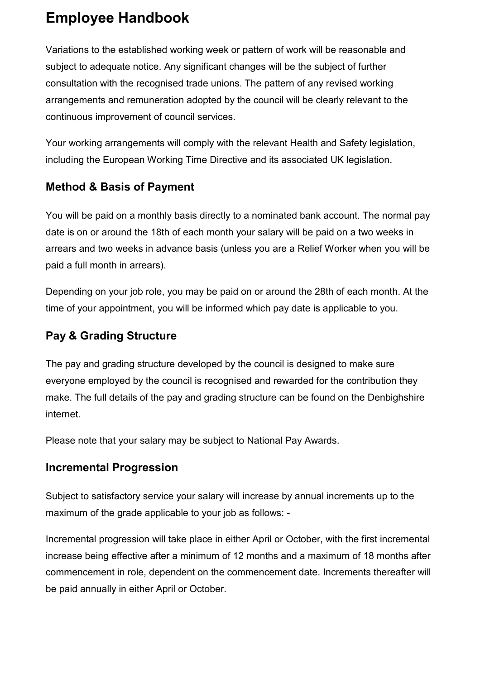Variations to the established working week or pattern of work will be reasonable and subject to adequate notice. Any significant changes will be the subject of further consultation with the recognised trade unions. The pattern of any revised working arrangements and remuneration adopted by the council will be clearly relevant to the continuous improvement of council services.

Your working arrangements will comply with the relevant Health and Safety legislation, including the European Working Time Directive and its associated UK legislation.

#### <span id="page-45-0"></span>**Method & Basis of Payment**

You will be paid on a monthly basis directly to a nominated bank account. The normal pay date is on or around the 18th of each month your salary will be paid on a two weeks in arrears and two weeks in advance basis (unless you are a Relief Worker when you will be paid a full month in arrears).

Depending on your job role, you may be paid on or around the 28th of each month. At the time of your appointment, you will be informed which pay date is applicable to you.

#### <span id="page-45-1"></span>**Pay & Grading Structure**

The pay and grading structure developed by the council is designed to make sure everyone employed by the council is recognised and rewarded for the contribution they make. The full details of the pay and grading structure can be found on the Denbighshire internet.

Please note that your salary may be subject to National Pay Awards.

#### <span id="page-45-2"></span>**Incremental Progression**

Subject to satisfactory service your salary will increase by annual increments up to the maximum of the grade applicable to your job as follows: -

Incremental progression will take place in either April or October, with the first incremental increase being effective after a minimum of 12 months and a maximum of 18 months after commencement in role, dependent on the commencement date. Increments thereafter will be paid annually in either April or October.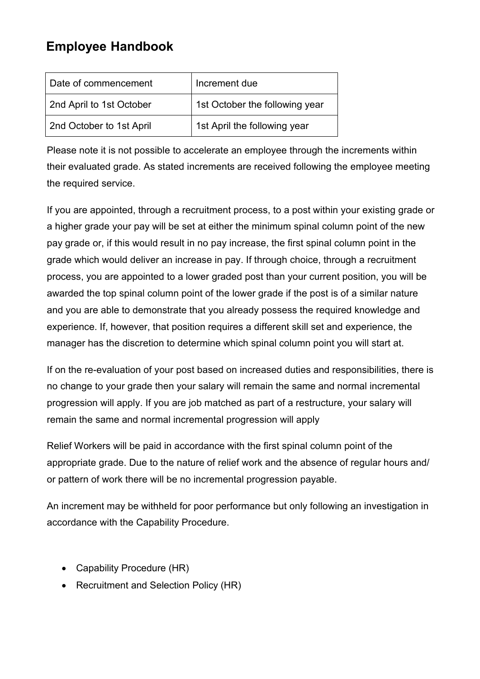| Date of commencement     | Increment due                  |
|--------------------------|--------------------------------|
| 2nd April to 1st October | 1st October the following year |
| 2nd October to 1st April | 1st April the following year   |

Please note it is not possible to accelerate an employee through the increments within their evaluated grade. As stated increments are received following the employee meeting the required service.

If you are appointed, through a recruitment process, to a post within your existing grade or a higher grade your pay will be set at either the minimum spinal column point of the new pay grade or, if this would result in no pay increase, the first spinal column point in the grade which would deliver an increase in pay. If through choice, through a recruitment process, you are appointed to a lower graded post than your current position, you will be awarded the top spinal column point of the lower grade if the post is of a similar nature and you are able to demonstrate that you already possess the required knowledge and experience. If, however, that position requires a different skill set and experience, the manager has the discretion to determine which spinal column point you will start at.

If on the re-evaluation of your post based on increased duties and responsibilities, there is no change to your grade then your salary will remain the same and normal incremental progression will apply. If you are job matched as part of a restructure, your salary will remain the same and normal incremental progression will apply

Relief Workers will be paid in accordance with the first spinal column point of the appropriate grade. Due to the nature of relief work and the absence of regular hours and/ or pattern of work there will be no incremental progression payable.

An increment may be withheld for poor performance but only following an investigation in accordance with the Capability Procedure.

- Capability Procedure (HR)
- Recruitment and Selection Policy (HR)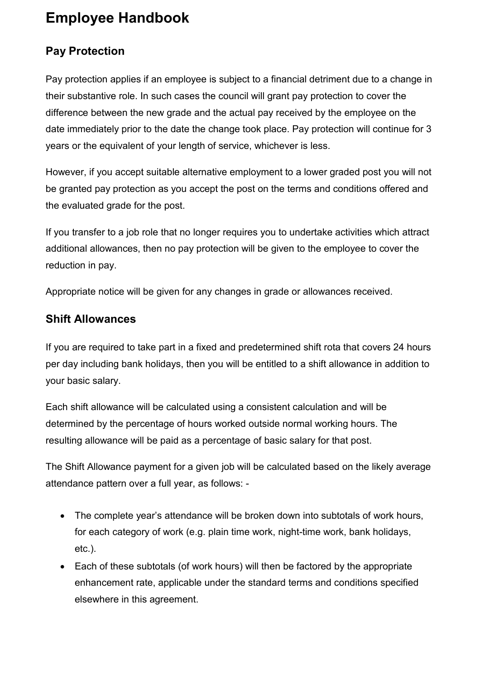#### <span id="page-47-0"></span>**Pay Protection**

Pay protection applies if an employee is subject to a financial detriment due to a change in their substantive role. In such cases the council will grant pay protection to cover the difference between the new grade and the actual pay received by the employee on the date immediately prior to the date the change took place. Pay protection will continue for 3 years or the equivalent of your length of service, whichever is less.

However, if you accept suitable alternative employment to a lower graded post you will not be granted pay protection as you accept the post on the terms and conditions offered and the evaluated grade for the post.

If you transfer to a job role that no longer requires you to undertake activities which attract additional allowances, then no pay protection will be given to the employee to cover the reduction in pay.

Appropriate notice will be given for any changes in grade or allowances received.

#### <span id="page-47-1"></span>**Shift Allowances**

If you are required to take part in a fixed and predetermined shift rota that covers 24 hours per day including bank holidays, then you will be entitled to a shift allowance in addition to your basic salary.

Each shift allowance will be calculated using a consistent calculation and will be determined by the percentage of hours worked outside normal working hours. The resulting allowance will be paid as a percentage of basic salary for that post.

The Shift Allowance payment for a given job will be calculated based on the likely average attendance pattern over a full year, as follows: -

- The complete year's attendance will be broken down into subtotals of work hours, for each category of work (e.g. plain time work, night-time work, bank holidays, etc.).
- Each of these subtotals (of work hours) will then be factored by the appropriate enhancement rate, applicable under the standard terms and conditions specified elsewhere in this agreement.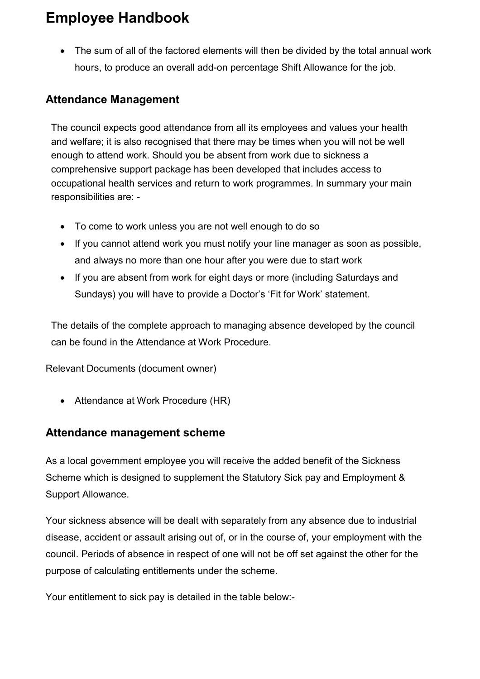• The sum of all of the factored elements will then be divided by the total annual work hours, to produce an overall add-on percentage Shift Allowance for the job.

#### <span id="page-48-0"></span>**Attendance Management**

The council expects good attendance from all its employees and values your health and welfare; it is also recognised that there may be times when you will not be well enough to attend work. Should you be absent from work due to sickness a comprehensive support package has been developed that includes access to occupational health services and return to work programmes. In summary your main responsibilities are: -

- To come to work unless you are not well enough to do so
- If you cannot attend work you must notify your line manager as soon as possible, and always no more than one hour after you were due to start work
- If you are absent from work for eight days or more (including Saturdays and Sundays) you will have to provide a Doctor's 'Fit for Work' statement.

The details of the complete approach to managing absence developed by the council can be found in the Attendance at Work Procedure.

Relevant Documents (document owner)

• Attendance at Work Procedure (HR)

#### <span id="page-48-1"></span>**Attendance management scheme**

As a local government employee you will receive the added benefit of the Sickness Scheme which is designed to supplement the Statutory Sick pay and Employment & Support Allowance.

Your sickness absence will be dealt with separately from any absence due to industrial disease, accident or assault arising out of, or in the course of, your employment with the council. Periods of absence in respect of one will not be off set against the other for the purpose of calculating entitlements under the scheme.

Your entitlement to sick pay is detailed in the table below:-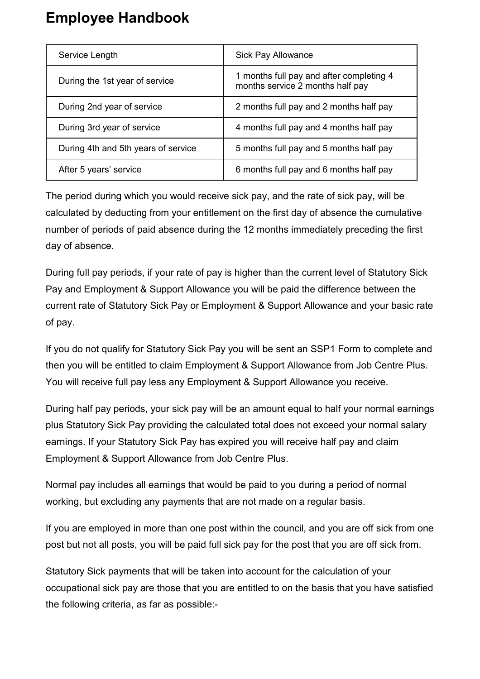| Service Length                      | <b>Sick Pay Allowance</b>                                                    |
|-------------------------------------|------------------------------------------------------------------------------|
| During the 1st year of service      | 1 months full pay and after completing 4<br>months service 2 months half pay |
| During 2nd year of service          | 2 months full pay and 2 months half pay                                      |
| During 3rd year of service          | 4 months full pay and 4 months half pay                                      |
| During 4th and 5th years of service | 5 months full pay and 5 months half pay                                      |
| After 5 years' service              | 6 months full pay and 6 months half pay                                      |

The period during which you would receive sick pay, and the rate of sick pay, will be calculated by deducting from your entitlement on the first day of absence the cumulative number of periods of paid absence during the 12 months immediately preceding the first day of absence.

During full pay periods, if your rate of pay is higher than the current level of Statutory Sick Pay and Employment & Support Allowance you will be paid the difference between the current rate of Statutory Sick Pay or Employment & Support Allowance and your basic rate of pay.

If you do not qualify for Statutory Sick Pay you will be sent an SSP1 Form to complete and then you will be entitled to claim Employment & Support Allowance from Job Centre Plus. You will receive full pay less any Employment & Support Allowance you receive.

During half pay periods, your sick pay will be an amount equal to half your normal earnings plus Statutory Sick Pay providing the calculated total does not exceed your normal salary earnings. If your Statutory Sick Pay has expired you will receive half pay and claim Employment & Support Allowance from Job Centre Plus.

Normal pay includes all earnings that would be paid to you during a period of normal working, but excluding any payments that are not made on a regular basis.

If you are employed in more than one post within the council, and you are off sick from one post but not all posts, you will be paid full sick pay for the post that you are off sick from.

Statutory Sick payments that will be taken into account for the calculation of your occupational sick pay are those that you are entitled to on the basis that you have satisfied the following criteria, as far as possible:-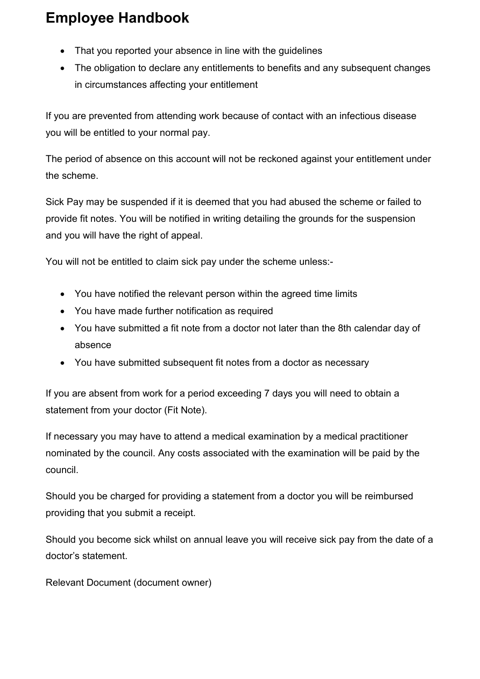- That you reported your absence in line with the guidelines
- The obligation to declare any entitlements to benefits and any subsequent changes in circumstances affecting your entitlement

If you are prevented from attending work because of contact with an infectious disease you will be entitled to your normal pay.

The period of absence on this account will not be reckoned against your entitlement under the scheme.

Sick Pay may be suspended if it is deemed that you had abused the scheme or failed to provide fit notes. You will be notified in writing detailing the grounds for the suspension and you will have the right of appeal.

You will not be entitled to claim sick pay under the scheme unless:-

- You have notified the relevant person within the agreed time limits
- You have made further notification as required
- You have submitted a fit note from a doctor not later than the 8th calendar day of absence
- You have submitted subsequent fit notes from a doctor as necessary

If you are absent from work for a period exceeding 7 days you will need to obtain a statement from your doctor (Fit Note).

If necessary you may have to attend a medical examination by a medical practitioner nominated by the council. Any costs associated with the examination will be paid by the council.

Should you be charged for providing a statement from a doctor you will be reimbursed providing that you submit a receipt.

Should you become sick whilst on annual leave you will receive sick pay from the date of a doctor's statement.

Relevant Document (document owner)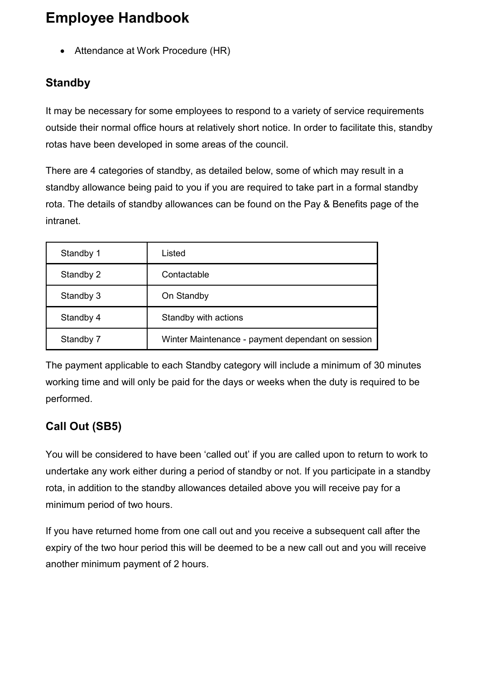• Attendance at Work Procedure (HR)

#### <span id="page-51-0"></span>**Standby**

It may be necessary for some employees to respond to a variety of service requirements outside their normal office hours at relatively short notice. In order to facilitate this, standby rotas have been developed in some areas of the council.

There are 4 categories of standby, as detailed below, some of which may result in a standby allowance being paid to you if you are required to take part in a formal standby rota. The details of standby allowances can be found on the Pay & Benefits page of the intranet.

| Standby 1 | Listed                                            |
|-----------|---------------------------------------------------|
| Standby 2 | Contactable                                       |
| Standby 3 | On Standby                                        |
| Standby 4 | Standby with actions                              |
| Standby 7 | Winter Maintenance - payment dependant on session |

The payment applicable to each Standby category will include a minimum of 30 minutes working time and will only be paid for the days or weeks when the duty is required to be performed.

#### <span id="page-51-1"></span>**Call Out (SB5)**

You will be considered to have been 'called out' if you are called upon to return to work to undertake any work either during a period of standby or not. If you participate in a standby rota, in addition to the standby allowances detailed above you will receive pay for a minimum period of two hours.

If you have returned home from one call out and you receive a subsequent call after the expiry of the two hour period this will be deemed to be a new call out and you will receive another minimum payment of 2 hours.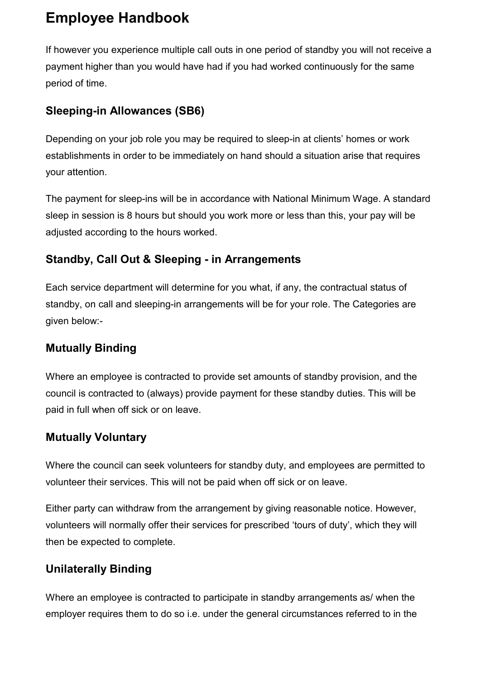If however you experience multiple call outs in one period of standby you will not receive a payment higher than you would have had if you had worked continuously for the same period of time.

#### <span id="page-52-0"></span>**Sleeping-in Allowances (SB6)**

Depending on your job role you may be required to sleep-in at clients' homes or work establishments in order to be immediately on hand should a situation arise that requires your attention.

The payment for sleep-ins will be in accordance with National Minimum Wage. A standard sleep in session is 8 hours but should you work more or less than this, your pay will be adjusted according to the hours worked.

#### <span id="page-52-1"></span>**Standby, Call Out & Sleeping - in Arrangements**

Each service department will determine for you what, if any, the contractual status of standby, on call and sleeping-in arrangements will be for your role. The Categories are given below:-

#### <span id="page-52-2"></span>**Mutually Binding**

Where an employee is contracted to provide set amounts of standby provision, and the council is contracted to (always) provide payment for these standby duties. This will be paid in full when off sick or on leave.

#### <span id="page-52-3"></span>**Mutually Voluntary**

Where the council can seek volunteers for standby duty, and employees are permitted to volunteer their services. This will not be paid when off sick or on leave.

Either party can withdraw from the arrangement by giving reasonable notice. However, volunteers will normally offer their services for prescribed 'tours of duty', which they will then be expected to complete.

#### <span id="page-52-4"></span>**Unilaterally Binding**

Where an employee is contracted to participate in standby arrangements as/ when the employer requires them to do so i.e. under the general circumstances referred to in the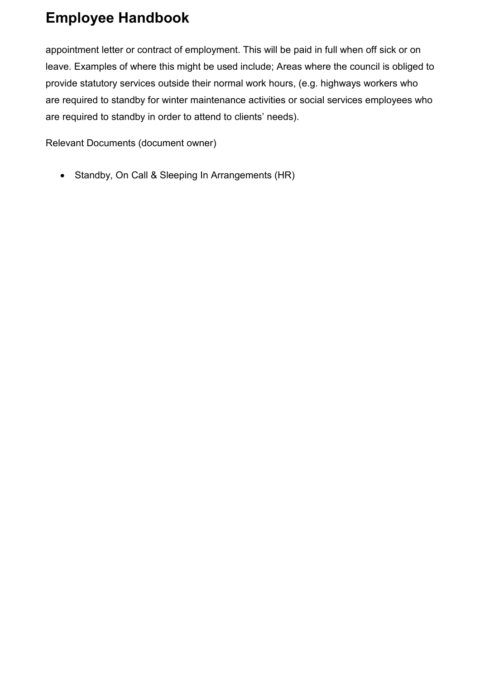appointment letter or contract of employment. This will be paid in full when off sick or on leave. Examples of where this might be used include; Areas where the council is obliged to provide statutory services outside their normal work hours, (e.g. highways workers who are required to standby for winter maintenance activities or social services employees who are required to standby in order to attend to clients' needs).

Relevant Documents (document owner)

• Standby, On Call & Sleeping In Arrangements (HR)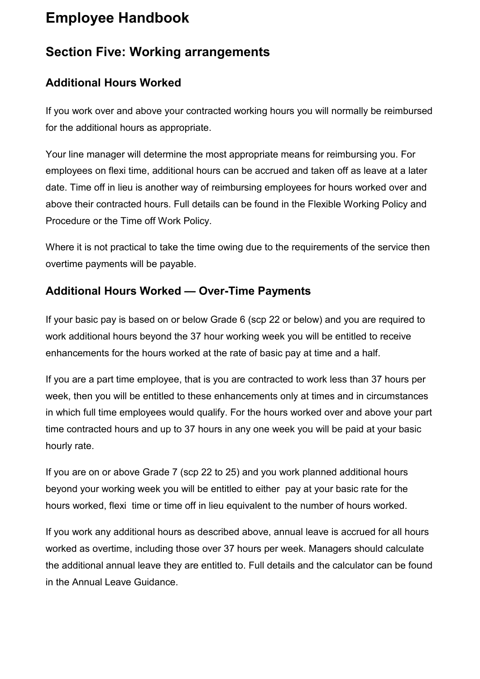#### <span id="page-54-0"></span>**Section Five: Working arrangements**

#### <span id="page-54-1"></span>**Additional Hours Worked**

If you work over and above your contracted working hours you will normally be reimbursed for the additional hours as appropriate.

Your line manager will determine the most appropriate means for reimbursing you. For employees on flexi time, additional hours can be accrued and taken off as leave at a later date. Time off in lieu is another way of reimbursing employees for hours worked over and above their contracted hours. Full details can be found in the Flexible Working Policy and Procedure or the Time off Work Policy.

Where it is not practical to take the time owing due to the requirements of the service then overtime payments will be payable.

#### <span id="page-54-2"></span>**Additional Hours Worked — Over-Time Payments**

If your basic pay is based on or below Grade 6 (scp 22 or below) and you are required to work additional hours beyond the 37 hour working week you will be entitled to receive enhancements for the hours worked at the rate of basic pay at time and a half.

If you are a part time employee, that is you are contracted to work less than 37 hours per week, then you will be entitled to these enhancements only at times and in circumstances in which full time employees would qualify. For the hours worked over and above your part time contracted hours and up to 37 hours in any one week you will be paid at your basic hourly rate.

If you are on or above Grade 7 (scp 22 to 25) and you work planned additional hours beyond your working week you will be entitled to either pay at your basic rate for the hours worked, flexi time or time off in lieu equivalent to the number of hours worked.

If you work any additional hours as described above, annual leave is accrued for all hours worked as overtime, including those over 37 hours per week. Managers should calculate the additional annual leave they are entitled to. Full details and the calculator can be found in the Annual Leave Guidance.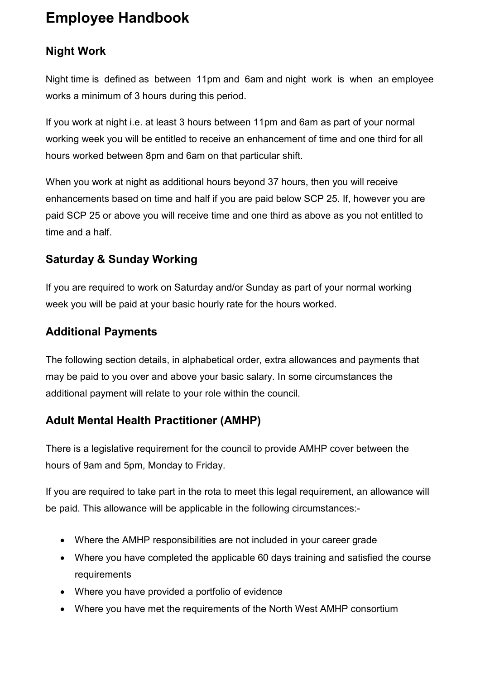#### <span id="page-55-0"></span>**Night Work**

Night time is defined as between 11pm and 6am and night work is when an employee works a minimum of 3 hours during this period.

If you work at night i.e. at least 3 hours between 11pm and 6am as part of your normal working week you will be entitled to receive an enhancement of time and one third for all hours worked between 8pm and 6am on that particular shift.

When you work at night as additional hours beyond 37 hours, then you will receive enhancements based on time and half if you are paid below SCP 25. If, however you are paid SCP 25 or above you will receive time and one third as above as you not entitled to time and a half.

#### <span id="page-55-1"></span>**Saturday & Sunday Working**

If you are required to work on Saturday and/or Sunday as part of your normal working week you will be paid at your basic hourly rate for the hours worked.

#### <span id="page-55-2"></span>**Additional Payments**

The following section details, in alphabetical order, extra allowances and payments that may be paid to you over and above your basic salary. In some circumstances the additional payment will relate to your role within the council.

#### <span id="page-55-3"></span>**Adult Mental Health Practitioner (AMHP)**

There is a legislative requirement for the council to provide AMHP cover between the hours of 9am and 5pm, Monday to Friday.

If you are required to take part in the rota to meet this legal requirement, an allowance will be paid. This allowance will be applicable in the following circumstances:-

- Where the AMHP responsibilities are not included in your career grade
- Where you have completed the applicable 60 days training and satisfied the course requirements
- Where you have provided a portfolio of evidence
- Where you have met the requirements of the North West AMHP consortium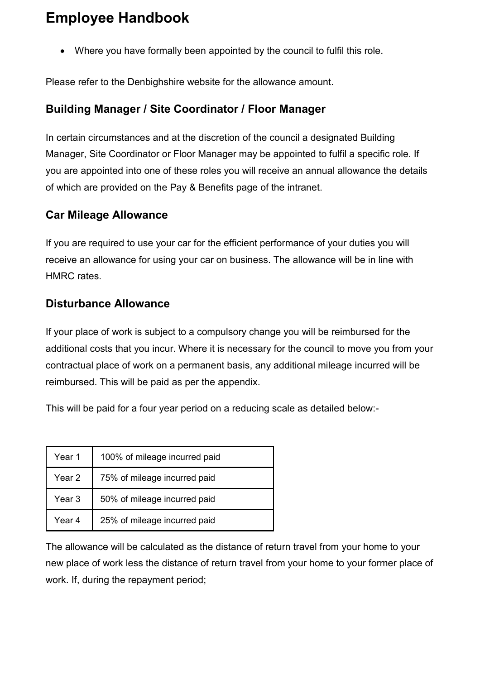• Where you have formally been appointed by the council to fulfil this role.

Please refer to the Denbighshire website for the allowance amount.

#### <span id="page-56-0"></span>**Building Manager / Site Coordinator / Floor Manager**

In certain circumstances and at the discretion of the council a designated Building Manager, Site Coordinator or Floor Manager may be appointed to fulfil a specific role. If you are appointed into one of these roles you will receive an annual allowance the details of which are provided on the Pay & Benefits page of the intranet.

#### <span id="page-56-1"></span>**Car Mileage Allowance**

If you are required to use your car for the efficient performance of your duties you will receive an allowance for using your car on business. The allowance will be in line with HMRC rates.

#### <span id="page-56-2"></span>**Disturbance Allowance**

If your place of work is subject to a compulsory change you will be reimbursed for the additional costs that you incur. Where it is necessary for the council to move you from your contractual place of work on a permanent basis, any additional mileage incurred will be reimbursed. This will be paid as per the appendix.

This will be paid for a four year period on a reducing scale as detailed below:-

| Year 1 | 100% of mileage incurred paid |
|--------|-------------------------------|
| Year 2 | 75% of mileage incurred paid  |
| Year 3 | 50% of mileage incurred paid  |
| Year 4 | 25% of mileage incurred paid  |

The allowance will be calculated as the distance of return travel from your home to your new place of work less the distance of return travel from your home to your former place of work. If, during the repayment period;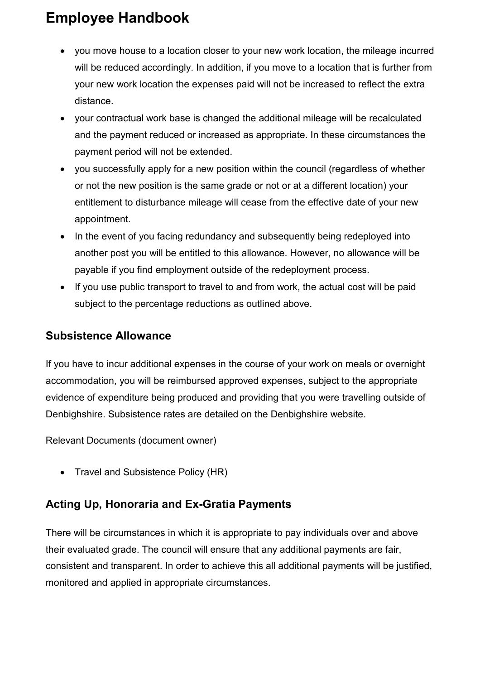- you move house to a location closer to your new work location, the mileage incurred will be reduced accordingly. In addition, if you move to a location that is further from your new work location the expenses paid will not be increased to reflect the extra distance.
- your contractual work base is changed the additional mileage will be recalculated and the payment reduced or increased as appropriate. In these circumstances the payment period will not be extended.
- you successfully apply for a new position within the council (regardless of whether or not the new position is the same grade or not or at a different location) your entitlement to disturbance mileage will cease from the effective date of your new appointment.
- In the event of you facing redundancy and subsequently being redeployed into another post you will be entitled to this allowance. However, no allowance will be payable if you find employment outside of the redeployment process.
- If you use public transport to travel to and from work, the actual cost will be paid subject to the percentage reductions as outlined above.

#### <span id="page-57-0"></span>**Subsistence Allowance**

If you have to incur additional expenses in the course of your work on meals or overnight accommodation, you will be reimbursed approved expenses, subject to the appropriate evidence of expenditure being produced and providing that you were travelling outside of Denbighshire. Subsistence rates are detailed on the Denbighshire website.

Relevant Documents (document owner)

• Travel and Subsistence Policy (HR)

#### <span id="page-57-1"></span>**Acting Up, Honoraria and Ex-Gratia Payments**

There will be circumstances in which it is appropriate to pay individuals over and above their evaluated grade. The council will ensure that any additional payments are fair, consistent and transparent. In order to achieve this all additional payments will be justified, monitored and applied in appropriate circumstances.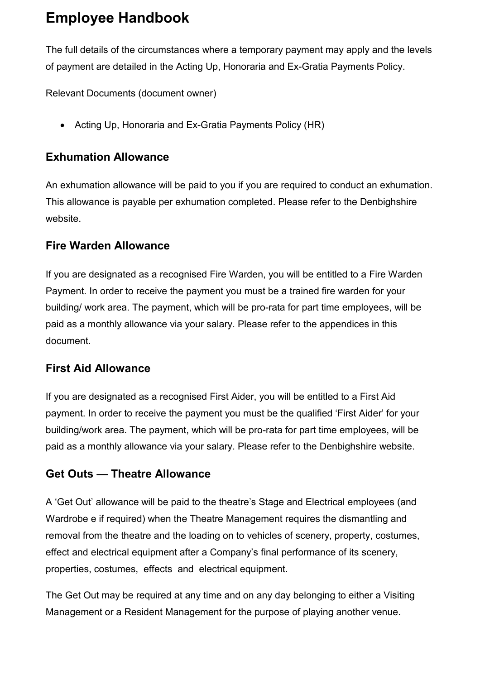The full details of the circumstances where a temporary payment may apply and the levels of payment are detailed in the Acting Up, Honoraria and Ex-Gratia Payments Policy.

Relevant Documents (document owner)

• Acting Up, Honoraria and Ex-Gratia Payments Policy (HR)

#### <span id="page-58-0"></span>**Exhumation Allowance**

An exhumation allowance will be paid to you if you are required to conduct an exhumation. This allowance is payable per exhumation completed. Please refer to the Denbighshire website.

#### <span id="page-58-1"></span>**Fire Warden Allowance**

If you are designated as a recognised Fire Warden, you will be entitled to a Fire Warden Payment. In order to receive the payment you must be a trained fire warden for your building/ work area. The payment, which will be pro-rata for part time employees, will be paid as a monthly allowance via your salary. Please refer to the appendices in this document.

#### <span id="page-58-2"></span>**First Aid Allowance**

If you are designated as a recognised First Aider, you will be entitled to a First Aid payment. In order to receive the payment you must be the qualified 'First Aider' for your building/work area. The payment, which will be pro-rata for part time employees, will be paid as a monthly allowance via your salary. Please refer to the Denbighshire website.

#### <span id="page-58-3"></span>**Get Outs — Theatre Allowance**

A 'Get Out' allowance will be paid to the theatre's Stage and Electrical employees (and Wardrobe e if required) when the Theatre Management requires the dismantling and removal from the theatre and the loading on to vehicles of scenery, property, costumes, effect and electrical equipment after a Company's final performance of its scenery, properties, costumes, effects and electrical equipment.

The Get Out may be required at any time and on any day belonging to either a Visiting Management or a Resident Management for the purpose of playing another venue.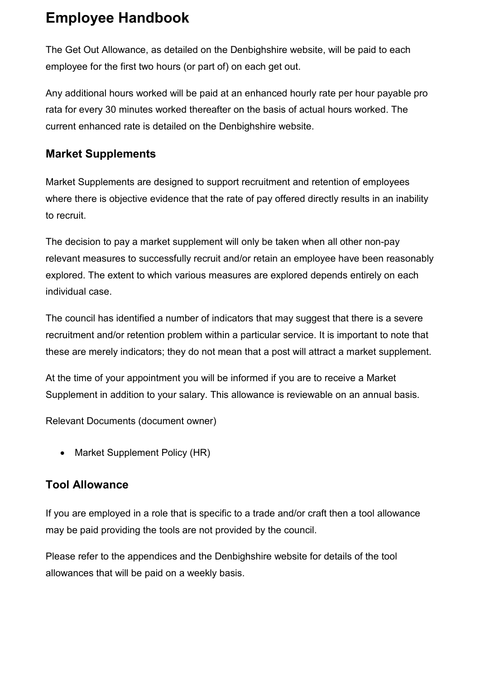The Get Out Allowance, as detailed on the Denbighshire website, will be paid to each employee for the first two hours (or part of) on each get out.

Any additional hours worked will be paid at an enhanced hourly rate per hour payable pro rata for every 30 minutes worked thereafter on the basis of actual hours worked. The current enhanced rate is detailed on the Denbighshire website.

#### <span id="page-59-0"></span>**Market Supplements**

Market Supplements are designed to support recruitment and retention of employees where there is objective evidence that the rate of pay offered directly results in an inability to recruit.

The decision to pay a market supplement will only be taken when all other non-pay relevant measures to successfully recruit and/or retain an employee have been reasonably explored. The extent to which various measures are explored depends entirely on each individual case.

The council has identified a number of indicators that may suggest that there is a severe recruitment and/or retention problem within a particular service. It is important to note that these are merely indicators; they do not mean that a post will attract a market supplement.

At the time of your appointment you will be informed if you are to receive a Market Supplement in addition to your salary. This allowance is reviewable on an annual basis.

Relevant Documents (document owner)

• Market Supplement Policy (HR)

#### <span id="page-59-1"></span>**Tool Allowance**

If you are employed in a role that is specific to a trade and/or craft then a tool allowance may be paid providing the tools are not provided by the council.

Please refer to the appendices and the Denbighshire website for details of the tool allowances that will be paid on a weekly basis.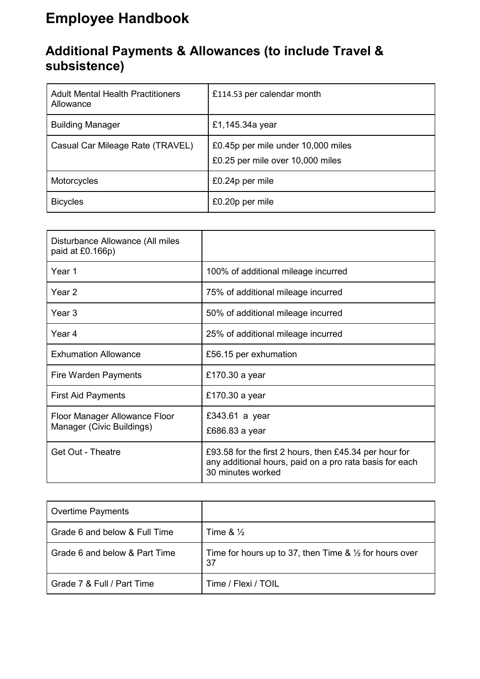#### <span id="page-60-0"></span>**Additional Payments & Allowances (to include Travel & subsistence)**

| <b>Adult Mental Health Practitioners</b><br>Allowance | £114.53 per calendar month                                             |
|-------------------------------------------------------|------------------------------------------------------------------------|
| <b>Building Manager</b>                               | £1,145.34a year                                                        |
| Casual Car Mileage Rate (TRAVEL)                      | £0.45p per mile under 10,000 miles<br>£0.25 per mile over 10,000 miles |
| Motorcycles                                           | £0.24p per mile                                                        |
| <b>Bicycles</b>                                       | £0.20p per mile                                                        |

| Disturbance Allowance (All miles<br>paid at £0.166p)       |                                                                                                                                        |
|------------------------------------------------------------|----------------------------------------------------------------------------------------------------------------------------------------|
| Year 1                                                     | 100% of additional mileage incurred                                                                                                    |
| Year 2                                                     | 75% of additional mileage incurred                                                                                                     |
| Year 3                                                     | 50% of additional mileage incurred                                                                                                     |
| Year 4                                                     | 25% of additional mileage incurred                                                                                                     |
| <b>Exhumation Allowance</b>                                | £56.15 per exhumation                                                                                                                  |
| Fire Warden Payments                                       | £170.30 a year                                                                                                                         |
| <b>First Aid Payments</b>                                  | £170.30 a year                                                                                                                         |
| Floor Manager Allowance Floor<br>Manager (Civic Buildings) | £343.61 a year<br>£686.83 a year                                                                                                       |
| <b>Get Out - Theatre</b>                                   | £93.58 for the first 2 hours, then £45.34 per hour for<br>any additional hours, paid on a pro rata basis for each<br>30 minutes worked |

| Overtime Payments             |                                                                          |
|-------------------------------|--------------------------------------------------------------------------|
| Grade 6 and below & Full Time | Time $\& \frac{1}{2}$                                                    |
| Grade 6 and below & Part Time | Time for hours up to 37, then Time $\& \frac{1}{2}$ for hours over<br>37 |
| Grade 7 & Full / Part Time    | Time / Flexi / TOIL                                                      |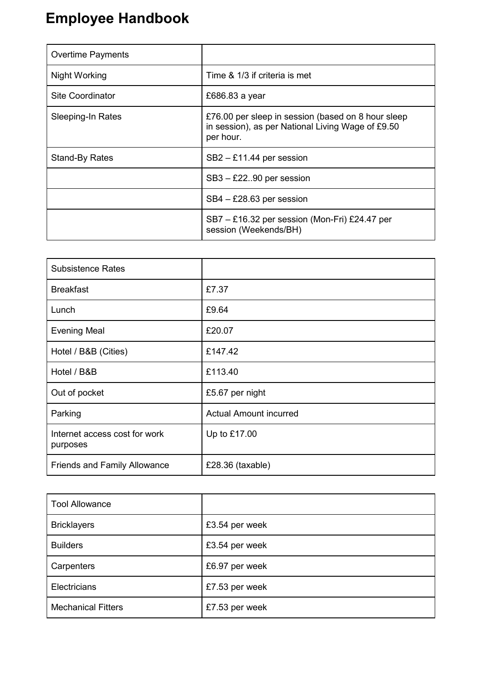| <b>Overtime Payments</b> |                                                                                                                      |
|--------------------------|----------------------------------------------------------------------------------------------------------------------|
| Night Working            | Time & 1/3 if criteria is met                                                                                        |
| <b>Site Coordinator</b>  | £686.83 a year                                                                                                       |
| Sleeping-In Rates        | £76.00 per sleep in session (based on 8 hour sleep<br>in session), as per National Living Wage of £9.50<br>per hour. |
| <b>Stand-By Rates</b>    | $SB2 - £11.44$ per session                                                                                           |
|                          | SB3 - £2290 per session                                                                                              |
|                          | $SB4 - £28.63$ per session                                                                                           |
|                          | SB7 - £16.32 per session (Mon-Fri) £24.47 per<br>session (Weekends/BH)                                               |

| <b>Subsistence Rates</b>                  |                               |
|-------------------------------------------|-------------------------------|
| <b>Breakfast</b>                          | £7.37                         |
| Lunch                                     | £9.64                         |
| <b>Evening Meal</b>                       | £20.07                        |
| Hotel / B&B (Cities)                      | £147.42                       |
| Hotel / B&B                               | £113.40                       |
| Out of pocket                             | £5.67 per night               |
| Parking                                   | <b>Actual Amount incurred</b> |
| Internet access cost for work<br>purposes | Up to £17.00                  |
| <b>Friends and Family Allowance</b>       | $£28.36$ (taxable)            |

| <b>Tool Allowance</b>     |                |
|---------------------------|----------------|
| <b>Bricklayers</b>        | £3.54 per week |
| <b>Builders</b>           | £3.54 per week |
| Carpenters                | £6.97 per week |
| Electricians              | £7.53 per week |
| <b>Mechanical Fitters</b> | £7.53 per week |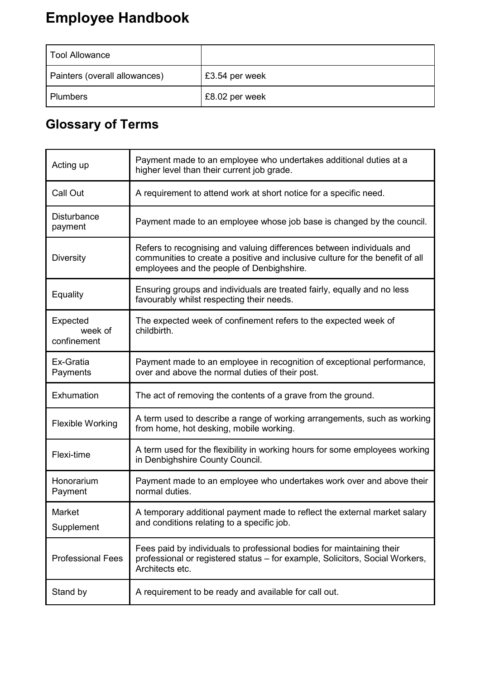| Tool Allowance                |                |
|-------------------------------|----------------|
| Painters (overall allowances) | £3.54 per week |
| <b>Plumbers</b>               | £8.02 per week |

# <span id="page-62-0"></span>**Glossary of Terms**

| Acting up                          | Payment made to an employee who undertakes additional duties at a<br>higher level than their current job grade.                                                                                     |  |
|------------------------------------|-----------------------------------------------------------------------------------------------------------------------------------------------------------------------------------------------------|--|
| Call Out                           | A requirement to attend work at short notice for a specific need.                                                                                                                                   |  |
| <b>Disturbance</b><br>payment      | Payment made to an employee whose job base is changed by the council.                                                                                                                               |  |
| <b>Diversity</b>                   | Refers to recognising and valuing differences between individuals and<br>communities to create a positive and inclusive culture for the benefit of all<br>employees and the people of Denbighshire. |  |
| Equality                           | Ensuring groups and individuals are treated fairly, equally and no less<br>favourably whilst respecting their needs.                                                                                |  |
| Expected<br>week of<br>confinement | The expected week of confinement refers to the expected week of<br>childbirth.                                                                                                                      |  |
| Ex-Gratia<br>Payments              | Payment made to an employee in recognition of exceptional performance,<br>over and above the normal duties of their post.                                                                           |  |
| Exhumation                         | The act of removing the contents of a grave from the ground.                                                                                                                                        |  |
| <b>Flexible Working</b>            | A term used to describe a range of working arrangements, such as working<br>from home, hot desking, mobile working.                                                                                 |  |
| Flexi-time                         | A term used for the flexibility in working hours for some employees working<br>in Denbighshire County Council.                                                                                      |  |
| Honorarium<br>Payment              | Payment made to an employee who undertakes work over and above their<br>normal duties.                                                                                                              |  |
| Market<br>Supplement               | A temporary additional payment made to reflect the external market salary<br>and conditions relating to a specific job.                                                                             |  |
| <b>Professional Fees</b>           | Fees paid by individuals to professional bodies for maintaining their<br>professional or registered status - for example, Solicitors, Social Workers,<br>Architects etc.                            |  |
| Stand by                           | A requirement to be ready and available for call out.                                                                                                                                               |  |